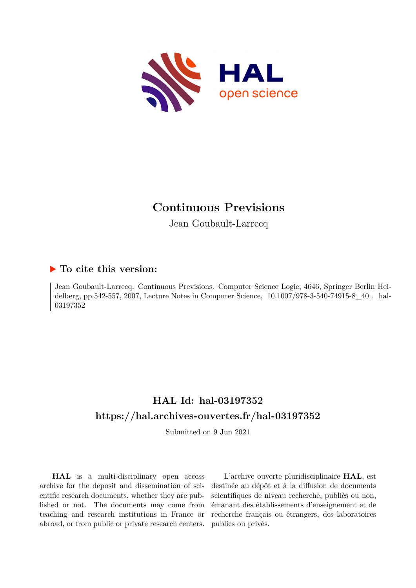

# **Continuous Previsions**

Jean Goubault-Larrecq

### **To cite this version:**

Jean Goubault-Larrecq. Continuous Previsions. Computer Science Logic, 4646, Springer Berlin Heidelberg, pp.542-557, 2007, Lecture Notes in Computer Science, 10.1007/978-3-540-74915-8 40. hal-03197352ff

## **HAL Id: hal-03197352 <https://hal.archives-ouvertes.fr/hal-03197352>**

Submitted on 9 Jun 2021

**HAL** is a multi-disciplinary open access archive for the deposit and dissemination of scientific research documents, whether they are published or not. The documents may come from teaching and research institutions in France or abroad, or from public or private research centers.

L'archive ouverte pluridisciplinaire **HAL**, est destinée au dépôt et à la diffusion de documents scientifiques de niveau recherche, publiés ou non, émanant des établissements d'enseignement et de recherche français ou étrangers, des laboratoires publics ou privés.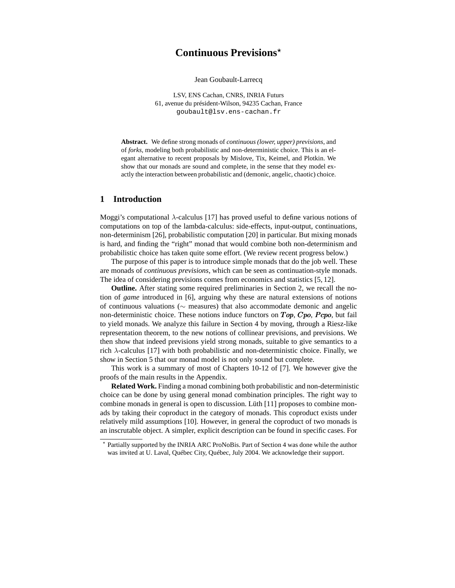### **Continuous Previsions**<sup>⋆</sup>

Jean Goubault-Larrecq

LSV, ENS Cachan, CNRS, INRIA Futurs 61, avenue du président-Wilson, 94235 Cachan, France goubault@lsv.ens-cachan.fr

**Abstract.** We define strong monads of *continuous (lower, upper) previsions*, and of *forks*, modeling both probabilistic and non-deterministic choice. This is an elegant alternative to recent proposals by Mislove, Tix, Keimel, and Plotkin. We show that our monads are sound and complete, in the sense that they model exactly the interaction between probabilistic and (demonic, angelic, chaotic) choice.

#### **1 Introduction**

Moggi's computational λ-calculus [17] has proved useful to define various notions of computations on top of the lambda-calculus: side-effects, input-output, continuations, non-determinism [26], probabilistic computation [20] in particular. But mixing monads is hard, and finding the "right" monad that would combine both non-determinism and probabilistic choice has taken quite some effort. (We review recent progress below.)

The purpose of this paper is to introduce simple monads that do the job well. These are monads of *continuous previsions*, which can be seen as continuation-style monads. The idea of considering previsions comes from economics and statistics [5, 12].

**Outline.** After stating some required preliminaries in Section 2, we recall the notion of *game* introduced in [6], arguing why these are natural extensions of notions of continuous valuations (∼ measures) that also accommodate demonic and angelic non-deterministic choice. These notions induce functors on  $Top$ ,  $Cpo$ ,  $Pcp$ , but fail to yield monads. We analyze this failure in Section 4 by moving, through a Riesz-like representation theorem, to the new notions of collinear previsions, and previsions. We then show that indeed previsions yield strong monads, suitable to give semantics to a rich  $\lambda$ -calculus [17] with both probabilistic and non-deterministic choice. Finally, we show in Section 5 that our monad model is not only sound but complete.

This work is a summary of most of Chapters 10-12 of [7]. We however give the proofs of the main results in the Appendix.

**Related Work.** Finding a monad combining both probabilistic and non-deterministic choice can be done by using general monad combination principles. The right way to combine monads in general is open to discussion. Lüth [11] proposes to combine monads by taking their coproduct in the category of monads. This coproduct exists under relatively mild assumptions [10]. However, in general the coproduct of two monads is an inscrutable object. A simpler, explicit description can be found in specific cases. For

<sup>⋆</sup> Partially supported by the INRIA ARC ProNoBis. Part of Section 4 was done while the author was invited at U. Laval, Québec City, Québec, July 2004. We acknowledge their support.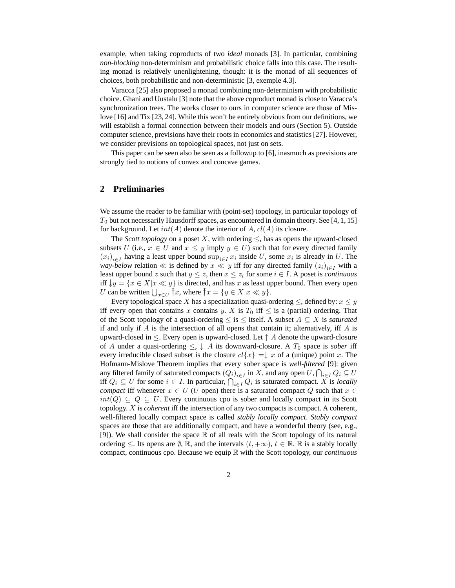example, when taking coproducts of two *ideal* monads [3]. In particular, combining *non-blocking* non-determinism and probabilistic choice falls into this case. The resulting monad is relatively unenlightening, though: it is the monad of all sequences of choices, both probabilistic and non-deterministic [3, exemple 4.3].

Varacca [25] also proposed a monad combining non-determinism with probabilistic choice. Ghani and Uustalu [3] note that the above coproduct monad is close to Varacca's synchronization trees. The works closer to ours in computer science are those of Mislove [16] and Tix [23, 24]. While this won't be entirely obvious from our definitions, we will establish a formal connection between their models and ours (Section 5). Outside computer science, previsions have their roots in economics and statistics [27]. However, we consider previsions on topological spaces, not just on sets.

This paper can be seen also be seen as a followup to [6], inasmuch as previsions are strongly tied to notions of convex and concave games.

#### **2 Preliminaries**

We assume the reader to be familiar with (point-set) topology, in particular topology of  $T_0$  but not necessarily Hausdorff spaces, as encountered in domain theory. See [4, 1, 15] for background. Let  $int(A)$  denote the interior of A,  $cl(A)$  its closure.

The *Scott topology* on a poset X, with ordering  $\leq$ , has as opens the upward-closed subsets U (i.e.,  $x \in U$  and  $x \leq y$  imply  $y \in U$ ) such that for every directed family  $(x_i)_{i \in I}$  having a least upper bound  $\sup_{i \in I} x_i$  inside U, some  $x_i$  is already in U. The *way-below* relation  $\ll$  is defined by  $x \ll y$  iff for any directed family  $(z_i)_{i \in I}$  with a least upper bound z such that  $y \leq z$ , then  $x \leq z_i$  for some  $i \in I$ . A poset is *continuous* iff  $\{y = \{x \in X | x \ll y\}$  is directed, and has x as least upper bound. Then every open U can be written  $\bigcup_{x \in U} \hat{x}$ , where  $\hat{x} = \{y \in X | x \ll y\}.$ 

Every topological space X has a specialization quasi-ordering  $\leq$ , defined by:  $x \leq y$ iff every open that contains x contains y. X is  $T_0$  iff  $\leq$  is a (partial) ordering. That of the Scott topology of a quasi-ordering  $\leq$  is  $\leq$  itself. A subset  $A \subseteq X$  is *saturated* if and only if  $A$  is the intersection of all opens that contain it; alternatively, iff  $A$  is upward-closed in  $\leq$ . Every open is upward-closed. Let  $\uparrow$  A denote the upward-closure of A under a quasi-ordering  $\leq$ ,  $\downarrow$  A its downward-closure. A  $T_0$  space is *sober* iff every irreducible closed subset is the closure  $cl\{x\} = \downarrow x$  of a (unique) point x. The Hofmann-Mislove Theorem implies that every sober space is *well-filtered* [9]: given any filtered family of saturated compacts  $(Q_i)_{i \in I}$  in X, and any open  $U$ ,  $\bigcap_{i \in I} Q_i \subseteq U$ iff  $Q_i$  ⊆ U for some  $i \in I$ . In particular,  $\bigcap_{i \in I} Q_i$  is saturated compact. X is *locally compact* iff whenever  $x \in U$  (U open) there is a saturated compact Q such that  $x \in$  $int(Q) \subseteq Q \subseteq U$ . Every continuous cpo is sober and locally compact in its Scott topology. X is *coherent* iff the intersection of any two compacts is compact. A coherent, well-filtered locally compact space is called *stably locally compact*. *Stably compact* spaces are those that are additionally compact, and have a wonderful theory (see, e.g., [9]). We shall consider the space  $\mathbb R$  of all reals with the Scott topology of its natural ordering  $\leq$ . Its opens are  $\emptyset$ , R, and the intervals  $(t, +\infty)$ ,  $t \in \mathbb{R}$ . R is a stably locally compact, continuous cpo. Because we equip R with the Scott topology, our *continuous*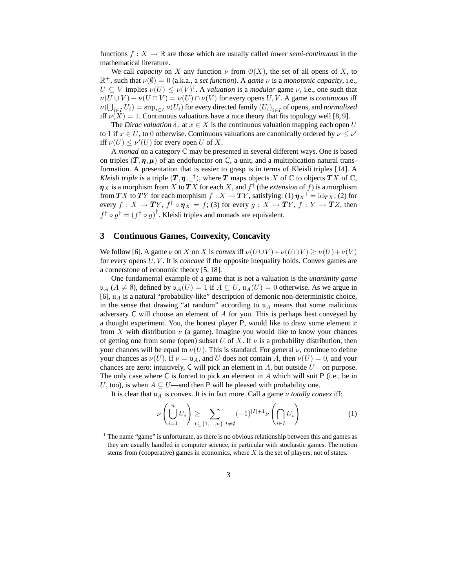functions  $f: X \to \mathbb{R}$  are those which are usually called *lower semi-continuous* in the mathematical literature.

We call *capacity* on X any function  $\nu$  from  $\mathcal{O}(X)$ , the set of all opens of X, to  $\mathbb{R}^+$ , such that  $\nu(\emptyset) = 0$  (a.k.a., a *set function*). A *game*  $\nu$  is a *monotonic capacity*, i.e.,  $U \subseteq V$  implies  $\nu(U) \leq \nu(V)^{1}$ . A *valuation* is a *modular* game  $\nu$ , i.e., one such that  $\nu(U \cup V) + \nu(U \cap V) = \nu(U) \cap \nu(V)$  for every opens U, V. A game is *continuous* iff  $\nu(\bigcup_{i\in I}U_i)=\sup_{i\in I}\nu(U_i)$  for every directed family  $(U_i)_{i\in I}$  of opens, and *normalized* iff  $\nu(X) = 1$ . Continuous valuations have a nice theory that fits topology well [8, 9].

The *Dirac valuation*  $\delta_x$  at  $x \in X$  is the continuous valuation mapping each open U to 1 if  $x \in U$ , to 0 otherwise. Continuous valuations are canonically ordered by  $\nu \leq \nu'$ iff  $\nu(U) \le \nu'(U)$  for every open U of X.

A *monad* on a category C may be presented in several different ways. One is based on triples  $(T, \eta, \mu)$  of an endofunctor on  $\mathbb{C}$ , a unit, and a multiplication natural transformation. A presentation that is easier to grasp is in terms of Kleisli triples [14]. A *Kleisli triple* is a triple  $(T, \eta, \_\,{\dagger})$ , where T maps objects X of  $\mathbb C$  to objects TX of  $\mathbb C$ ,  $\pmb{\eta}_X$  is a morphism from  $X$  to  $\pmb{T} X$  for each  $X$ , and  $f^\dagger$  (the *extension* of  $f$ ) is a morphism from  $\bm{T}X$  to  $\bm{T}Y$  for each morphism  $f:X\to \bm{T}Y,$  satisfying: (1)  $\bm{\eta}_X{}^\dag={\rm id}_{\bm{T}X};$  (2) for every  $f\,:\,X\,\rightarrow \boldsymbol{T} Y,\,f^\dagger\circ \boldsymbol{\eta}_X\,=\,f;\,(3)$  for every  $g\,:\,X\,\rightarrow \boldsymbol{T} Y,\,f\,:\,Y\,\rightarrow \boldsymbol{T} Z,$  then  $f^{\dagger} \circ g^{\dagger} = (f^{\dagger} \circ g)^{\dagger}$ . Kleisli triples and monads are equivalent.

#### **3 Continuous Games, Convexity, Concavity**

We follow [6]. A game  $\nu$  on X on X is *convex* iff  $\nu(U \cup V) + \nu(U \cap V) \ge \nu(U) + \nu(V)$ for every opens U, V . It is *concave* if the opposite inequality holds. Convex games are a cornerstone of economic theory [5, 18].

One fundamental example of a game that is not a valuation is the *unanimity game*  $\mathfrak{u}_A$  ( $A \neq \emptyset$ ), defined by  $\mathfrak{u}_A(U) = 1$  if  $A \subseteq U$ ,  $\mathfrak{u}_A(U) = 0$  otherwise. As we argue in [6],  $\mu_A$  is a natural "probability-like" description of demonic non-deterministic choice, in the sense that drawing "at random" according to  $\mu_A$  means that some malicious adversary C will choose an element of A for you. This is perhaps best conveyed by a thought experiment. You, the honest player P, would like to draw some element  $x$ from X with distribution  $\nu$  (a game). Imagine you would like to know your chances of getting one from some (open) subset U of X. If  $\nu$  is a probability distribution, then your chances will be equal to  $\nu(U)$ . This is standard. For general  $\nu$ , continue to define your chances as  $\nu(U)$ . If  $\nu = \mathfrak{u}_A$ , and U does not contain A, then  $\nu(U) = 0$ , and your chances are zero: intuitively,  $C$  will pick an element in  $A$ , but outside  $U$ —on purpose. The only case where  $C$  is forced to pick an element in  $A$  which will suit  $P$  (i.e., be in U, too), is when  $A \subseteq U$ —and then P will be pleased with probability one.

It is clear that  $\mathfrak{u}_A$  is convex. It is in fact more. Call a game  $\nu$  *totally convex* iff:

$$
\nu\left(\bigcup_{i=1}^{n} U_i\right) \ge \sum_{I \subseteq \{1,\dots,n\}, I \neq \emptyset} (-1)^{|I|+1} \nu\left(\bigcap_{i \in I} U_i\right) \tag{1}
$$

<sup>&</sup>lt;sup>1</sup> The name "game" is unfortunate, as there is no obvious relationship between this and games as they are usually handled in computer science, in particular with stochastic games. The notion stems from (cooperative) games in economics, where  $X$  is the set of players, not of states.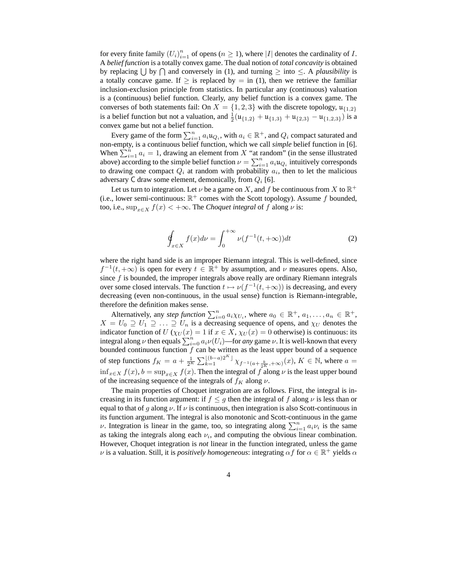for every finite family  $(U_i)_{i=1}^n$  of opens  $(n \ge 1)$ , where |I| denotes the cardinality of I. A *belief function* is a totally convex game. The dual notion of *total concavity* is obtained by replacing  $\bigcup$  by  $\bigcap$  and conversely in (1), and turning  $\geq$  into  $\leq$ . A *plausibility* is a totally concave game. If  $\geq$  is replaced by = in (1), then we retrieve the familiar inclusion-exclusion principle from statistics. In particular any (continuous) valuation is a (continuous) belief function. Clearly, any belief function is a convex game. The converses of both statements fail: On  $X = \{1, 2, 3\}$  with the discrete topology,  $\mu_{\{1,2\}}$ is a belief function but not a valuation, and  $\frac{1}{2}(\mu_{\{1,2\}} + \mu_{\{1,3\}} + \mu_{\{2,3\}} - \mu_{\{1,2,3\}})$  is a convex game but not a belief function.

Every game of the form  $\sum_{i=1}^n a_i u_{Q_i}$ , with  $a_i \in \mathbb{R}^+$ , and  $Q_i$  compact saturated and non-empty, is a continuous belief function, which we call *simple* belief function in [6]. When  $\sum_{i=1}^{n} a_i = 1$ , drawing an element from X "at random" (in the sense illustrated above) according to the simple belief function  $\nu = \sum_{i=1}^{n} a_i u_{Q_i}$  intuitively corresponds to drawing one compact  $Q_i$  at random with probability  $a_i$ , then to let the malicious adversary C draw some element, demonically, from  $Q_i$  [6].

Let us turn to integration. Let  $\nu$  be a game on X, and f be continuous from X to  $\mathbb{R}^+$ (i.e., lower semi-continuous:  $\mathbb{R}^+$  comes with the Scott topology). Assume f bounded, too, i.e.,  $\sup_{x \in X} f(x) < +\infty$ . The *Choquet integral* of f along  $\nu$  is:

$$
\oint_{x \in X} f(x) d\nu = \int_0^{+\infty} \nu(f^{-1}(t, +\infty)) dt
$$
\n(2)

where the right hand side is an improper Riemann integral. This is well-defined, since  $f^{-1}(t, +\infty)$  is open for every  $t \in \mathbb{R}^+$  by assumption, and  $\nu$  measures opens. Also, since  $f$  is bounded, the improper integrals above really are ordinary Riemann integrals over some closed intervals. The function  $t \mapsto \nu(f^{-1}(t, +\infty))$  is decreasing, and every decreasing (even non-continuous, in the usual sense) function is Riemann-integrable, therefore the definition makes sense.

Alternatively, any *step function*  $\sum_{i=0}^{n} a_i \chi_{U_i}$ , where  $a_0 \in \mathbb{R}^+$ ,  $a_1, \ldots, a_n \in \mathbb{R}^+$ ,  $X = U_0 \supseteq U_1 \supseteq \ldots \supseteq U_n$  is a decreasing sequence of opens, and  $\chi_U$  denotes the indicator function of  $U$  ( $\chi_U(x) = 1$  if  $x \in X$ ,  $\chi_U(x) = 0$  otherwise) is continuous: its integral along  $\nu$  then equals  $\sum_{i=0}^{n} a_i \nu(U_i)$ —for *any* game  $\nu$ . It is well-known that every bounded continuous function  $f$  can be written as the least upper bound of a sequence of step functions  $f_K = a + \frac{1}{2^K} \sum_{k=1}^{\lfloor (b-a)2^K \rfloor} \chi_{f^{-1}(a + \frac{k}{2^K}, +\infty)}(x)$ ,  $K \in \mathbb{N}$ , where  $a =$  $\inf_{x\in X} f(x)$ ,  $b = \sup_{x\in X} f(x)$ . Then the integral of f along  $\nu$  is the least upper bound of the increasing sequence of the integrals of  $f_K$  along  $\nu$ .

The main properties of Choquet integration are as follows. First, the integral is increasing in its function argument: if  $f \leq g$  then the integral of f along  $\nu$  is less than or equal to that of g along  $\nu$ . If  $\nu$  is continuous, then integration is also Scott-continuous in its function argument. The integral is also monotonic and Scott-continuous in the game  $\nu$ . Integration is linear in the game, too, so integrating along  $\sum_{i=1}^{n} a_i \nu_i$  is the same as taking the integrals along each  $\nu_i$ , and computing the obvious linear combination. However, Choquet integration is *not* linear in the function integrated, unless the game  $\nu$  is a valuation. Still, it is *positively homogeneous*: integrating  $\alpha f$  for  $\alpha \in \mathbb{R}^+$  yields  $\alpha$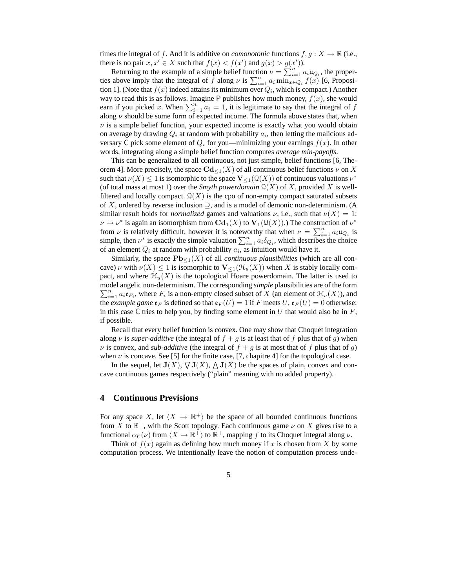times the integral of f. And it is additive on *comonotonic* functions  $f, g: X \to \mathbb{R}$  (i.e., there is no pair  $x, x' \in X$  such that  $f(x) < f(x')$  and  $g(x) > g(x')$ ).

Returning to the example of a simple belief function  $\nu = \sum_{i=1}^{n} a_i u_{Q_i}$ , the properties above imply that the integral of f along  $\nu$  is  $\sum_{i=1}^{n} a_i \min_{x \in Q_i} f(x)$  [6, Proposition 1]. (Note that  $f(x)$  indeed attains its minimum over  $Q_i$ , which is compact.) Another way to read this is as follows. Imagine P publishes how much money,  $f(x)$ , she would earn if you picked x. When  $\sum_{i=1}^{n} a_i = 1$ , it is legitimate to say that the integral of f along  $\nu$  should be some form of expected income. The formula above states that, when  $\nu$  is a simple belief function, your expected income is exactly what you would obtain on average by drawing  $Q_i$  at random with probability  $a_i$ , then letting the malicious adversary C pick some element of  $Q_i$  for you—minimizing your earnings  $f(x)$ . In other words, integrating along a simple belief function computes *average min-payoffs*.

This can be generalized to all continuous, not just simple, belief functions [6, Theorem 4]. More precisely, the space  $\mathbf{Cd}_{\leq 1}(X)$  of all continuous belief functions  $\nu$  on X such that  $\nu(X) \leq 1$  is isomorphic to the space  $V_{\leq 1}(\mathcal{Q}(X))$  of continuous valuations  $\nu^*$ (of total mass at most 1) over the *Smyth powerdomain*  $\mathcal{Q}(X)$  of X, provided X is wellfiltered and locally compact.  $\mathcal{Q}(X)$  is the cpo of non-empty compact saturated subsets of X, ordered by reverse inclusion  $\supseteq$ , and is a model of demonic non-determinism. (A similar result holds for *normalized* games and valuations  $\nu$ , i.e., such that  $\nu(X) = 1$ :  $\nu \mapsto \nu^*$  is again an isomorphism from  $\mathbf{Cd}_1(X)$  to  $\mathbf{V}_1(\mathcal{Q}(X))$ .) The construction of  $\nu^*$ from  $\nu$  is relatively difficult, however it is noteworthy that when  $\nu = \sum_{i=1}^{n} a_i u_{Q_i}$  is simple, then  $\nu^*$  is exactly the simple valuation  $\sum_{i=1}^n a_i \delta_{Q_i}$ , which describes the choice of an element  $Q_i$  at random with probability  $a_i$ , as intuition would have it.

Similarly, the space  $\mathbf{Pb}_{\leq 1}(X)$  of all *continuous plausibilities* (which are all concave)  $\nu$  with  $\nu(X) \leq 1$  is isomorphic to  $\mathbf{V}_{\leq 1}(\mathcal{H}_u(X))$  when X is stably locally compact, and where  $\mathcal{H}_u(X)$  is the topological Hoare powerdomain. The latter is used to  $\sum_{i=1}^{n} a_i \mathfrak{e}_{F_i}$ , where  $F_i$  is a non-empty closed subset of X (an element of  $\mathcal{H}_u(X)$ ), and model angelic non-determinism. The corresponding *simple* plausibilities are of the form the *example game*  $\mathfrak{e}_F$  is defined so that  $\mathfrak{e}_F(U) = 1$  if F meets U,  $\mathfrak{e}_F(U) = 0$  otherwise: in this case C tries to help you, by finding some element in U that would also be in  $F$ , if possible.

Recall that every belief function is convex. One may show that Choquet integration along  $\nu$  is *super-additive* (the integral of  $f + g$  is at least that of f plus that of g) when  $\nu$  is convex, and *sub-additive* (the integral of  $f + g$  is at most that of f plus that of g) when  $\nu$  is concave. See [5] for the finite case, [7, chapitre 4] for the topological case.

In the sequel, let  $J(X)$ ,  $\nabla J(X)$ ,  $\Delta J(X)$  be the spaces of plain, convex and concave continuous games respectively ("plain" meaning with no added property).

#### **4 Continuous Previsions**

For any space X, let  $\langle X \rightarrow \mathbb{R}^+ \rangle$  be the space of all bounded continuous functions from X to  $\mathbb{R}^+$ , with the Scott topology. Each continuous game  $\nu$  on X gives rise to a functional  $\alpha_{\mathcal{C}}(\nu)$  from  $\langle X \to \mathbb{R}^+ \rangle$  to  $\mathbb{R}^+$ , mapping f to its Choquet integral along  $\nu$ .

Think of  $f(x)$  again as defining how much money if x is chosen from X by some computation process. We intentionally leave the notion of computation process unde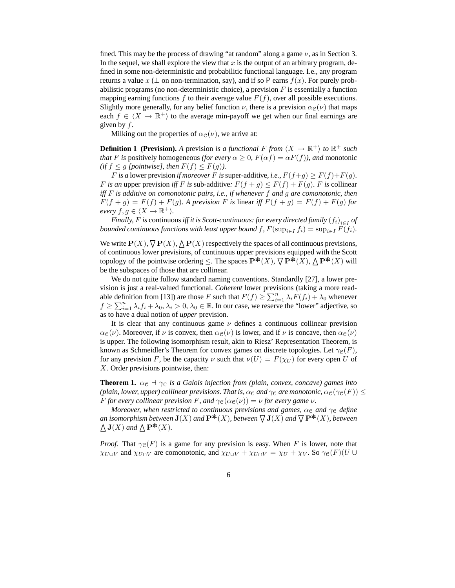fined. This may be the process of drawing "at random" along a game  $\nu$ , as in Section 3. In the sequel, we shall explore the view that x is the output of an arbitrary program, defined in some non-deterministic and probabilitic functional language. I.e., any program returns a value x ( $\perp$  on non-termination, say), and if so P earns  $f(x)$ . For purely probabilistic programs (no non-deterministic choice), a prevision  $F$  is essentially a function mapping earning functions f to their average value  $F(f)$ , over all possible executions. Slightly more generally, for any belief function  $\nu$ , there is a prevision  $\alpha_{\mathcal{C}}(\nu)$  that maps each  $f \in \langle X \to \mathbb{R}^+ \rangle$  to the average min-payoff we get when our final earnings are given by  $f$ .

Milking out the properties of  $\alpha_{\mathcal{C}}(\nu)$ , we arrive at:

**Definition 1 (Prevision).** A prevision *is a functional* F from  $\langle X \to \mathbb{R}^+ \rangle$  to  $\mathbb{R}^+$  *such that* F is positively homogeneous *(for every*  $\alpha \geq 0$ ,  $F(\alpha f) = \alpha F(f)$ *), and* monotonic *(if*  $f \leq g$  *[pointwise], then*  $F(f) \leq F(g)$ *).* 

*F* is a lower prevision *if moreover F* is super-additive, i.e.,  $F(f+g) \geq F(f)+F(g)$ . F is an upper prevision *iff* F is sub-additive:  $F(f+g) \leq F(f) + F(g)$ . F is collinear *iff* F *is additive on comonotonic pairs, i.e., if whenever* f *and* g *are comonotonic, then*  $F(f + g) = F(f) + F(g)$ . A prevision F is linear iff  $F(f + g) = F(f) + F(g)$  for *every*  $f, g \in \langle X \rightarrow \mathbb{R}^+ \rangle$ .

*Finally, F is* continuous *iff it is Scott-continuous: for every directed family*  $\left(f_{i}\right)_{i\in I}$  *of bounded continuous functions with least upper bound* f,  $F(\sup_{i \in I} f_i) = \sup_{i \in I} F(f_i)$ *.* 

We write  $P(X)$ ,  $\overline{\bigvee} P(X)$ ,  $\Delta P(X)$  respectively the spaces of all continuous previsions, of continuous lower previsions, of continuous upper previsions equipped with the Scott topology of the pointwise ordering  $\leq$ . The spaces  $\mathbf{P}^{*}(X)$ ,  $\nabla \mathbf{P}^{*}(X)$ ,  $\Delta \mathbf{P}^{*}(X)$  will be the subspaces of those that are collinear.

We do not quite follow standard naming conventions. Standardly [27], a lower prevision is just a real-valued functional. *Coherent* lower previsions (taking a more readable definition from [13]) are those F such that  $F(f) \ge \sum_{i=1}^n \lambda_i F(f_i) + \lambda_0$  whenever  $f \ge \sum_{i=1}^n \lambda_i f_i + \lambda_0, \lambda_i > 0, \lambda_0 \in \mathbb{R}$ . In our case, we reserve the "lower" adjective, so as to have a dual notion of *upper* prevision.

It is clear that any continuous game  $\nu$  defines a continuous collinear prevision  $\alpha_{\mathcal{C}}(\nu)$ . Moreover, if  $\nu$  is convex, then  $\alpha_{\mathcal{C}}(\nu)$  is lower, and if  $\nu$  is concave, then  $\alpha_{\mathcal{C}}(\nu)$ is upper. The following isomorphism result, akin to Riesz' Representation Theorem, is known as Schmeidler's Theorem for convex games on discrete topologies. Let  $\gamma_{\mathcal{C}}(F)$ , for any prevision F, be the capacity  $\nu$  such that  $\nu(U) = F(\chi_U)$  for every open U of X. Order previsions pointwise, then:

**Theorem 1.**  $\alpha_{\mathcal{C}} \dashv \gamma_{\mathcal{C}}$  *is a Galois injection from (plain, convex, concave) games into (plain, lower, upper) collinear previsions. That is,*  $\alpha_{\mathcal{C}}$  *and*  $\gamma_{\mathcal{C}}$  *are monotonic,*  $\alpha_{\mathcal{C}}(\gamma_{\mathcal{C}}(F)) \leq$ *F for every collinear prevision F*, and  $\gamma_{\mathcal{C}}(\alpha_{\mathcal{C}}(\nu)) = \nu$  *for every game*  $\nu$ *.* 

*Moreover, when restricted to continuous previsions and games,*  $\alpha_{\rm c}$  *and*  $\gamma_{\rm c}$  *define an isomorphism between*  $J(X)$  *and*  $P^*(X)$ *, between*  $\nabla J(X)$  *and*  $\nabla P^*(X)$ *, between*  $\Delta$ **J**(*X*) and  $\Delta$ **P**<sup>\*</sup> $(X)$ .

*Proof.* That  $\gamma_{\mathcal{C}}(F)$  is a game for any prevision is easy. When F is lower, note that  $\chi_{U\cup V}$  and  $\chi_{U\cap V}$  are comonotonic, and  $\chi_{U\cup V} + \chi_{U\cap V} = \chi_U + \chi_V$ . So  $\gamma_e(F)(U \cup$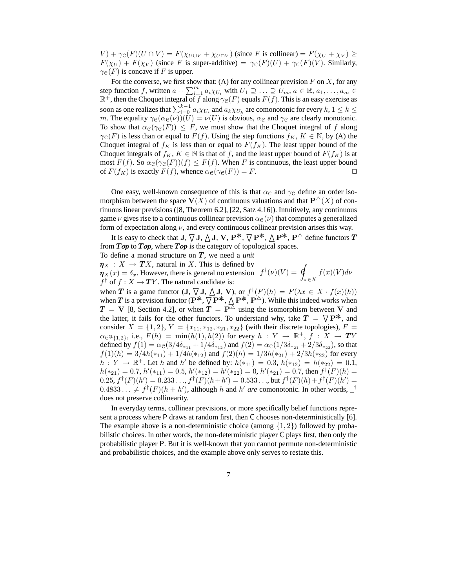$V$ ) +  $\gamma e(F)(U \cap V) = F(\chi_{U \cup V} + \chi_{U \cap V})$  (since F is collinear) =  $F(\chi_U + \chi_V) \ge$  $F(\chi_U) + F(\chi_V)$  (since F is super-additive) =  $\gamma_{\mathcal{C}}(F)(U) + \gamma_{\mathcal{C}}(F)(V)$ . Similarly,  $\gamma_{\mathcal{C}}(F)$  is concave if F is upper.

For the converse, we first show that: (A) for any collinear prevision  $F$  on  $X$ , for any step function f, written  $a + \sum_{i=1}^{m} a_i \chi_{U_i}$  with  $U_1 \supseteq \ldots \supseteq U_m$ ,  $a \in \mathbb{R}$ ,  $a_1, \ldots, a_m \in$  $\mathbb{R}^+$ , then the Choquet integral of f along  $\gamma_{\mathcal{C}}(F)$  equals  $F(f)$ . This is an easy exercise as soon as one realizes that  $\sum_{i=0}^{k-1} a_i \chi_{U_i}$  and  $a_k \chi_{U_k}$  are comonotonic for every  $k, 1 \leq k \leq$ m. The equality  $\gamma_{\mathcal{C}}(\alpha_{\mathcal{C}}(\nu))(U) = \nu(U)$  is obvious,  $\alpha_{\mathcal{C}}$  and  $\gamma_{\mathcal{C}}$  are clearly monotonic. To show that  $\alpha_{\mathcal{C}}(\gamma_{\mathcal{C}}(F)) \leq F$ , we must show that the Choquet integral of f along  $\gamma_{\mathcal{C}}(F)$  is less than or equal to  $F(f)$ . Using the step functions  $f_K$ ,  $K \in \mathbb{N}$ , by (A) the Choquet integral of  $f_K$  is less than or equal to  $F(f_K)$ . The least upper bound of the Choquet integrals of  $f_K$ ,  $K \in \mathbb{N}$  is that of f, and the least upper bound of  $F(f_K)$  is at most  $F(f)$ . So  $\alpha_{\mathcal{C}}(\gamma_{\mathcal{C}}(F))(f) \leq F(f)$ . When F is continuous, the least upper bound of  $F(f_K)$  is exactly  $F(f)$ , whence  $\alpha_{\mathcal{C}}(\gamma_{\mathcal{C}}(F)) = F$ .  $\Box$ 

One easy, well-known consequence of this is that  $\alpha_{\mathcal{C}}$  and  $\gamma_{\mathcal{C}}$  define an order isomorphism between the space  $V(X)$  of continuous valuations and that  $P^{\Delta}(X)$  of continuous linear previsions ([8, Theorem 6.2], [22, Satz 4.16]). Intuitively, any continuous game  $\nu$  gives rise to a continuous collinear prevision  $\alpha_{\mathcal{C}}(\nu)$  that computes a generalized form of expectation along  $\nu$ , and every continuous collinear prevision arises this way.

It is easy to check that  $J, \nabla J, \Delta J, \mathbf{V}, \mathbf{P}^*, \nabla \mathbf{P}^*, \Delta \mathbf{P}^*, \mathbf{P}^*$  define functors  $\mathbf{T}$ from  $Top$  to  $Top$ , where  $Top$  is the category of topological spaces.

To define a monad structure on  $T$ , we need a *unit* 

 $\eta_X : X \to TX$ , natural in X. This is defined by

 $\eta_X : X \to I X$ , hatural in X. This is defined by<br>  $\eta_X(x) = \delta_x$ . However, there is general no extension  $f^{\dagger}(\nu)(V) = \oint$  $f^{\dagger}$  of  $f: X \to TY$ . The natural candidate is: x∈X  $f(x)(V)dv$ 

when **T** is a game functor (**J**,  $\bigtriangledown$ **J**,  $\bigtriangleup$ **J**, **V**), or  $f^{\dagger}(F)(h) = F(\lambda x \in X \cdot f(x)(h))$ when T is a prevision functor  $(P^*, \nabla P^*, \Delta P^*, P^{\triangle})$ . While this indeed works when  $T = V$  [8, Section 4.2], or when  $T = P^{\overline{\triangle}}$  using the isomorphism between V and the latter, it fails for the other functors. To understand why, take  $T = \nabla P^*$ , and consider  $X = \{1, 2\}, Y = \{*_11, *_12, *_21, *_22\}$  (with their discrete topologies),  $F =$  $\alpha_{{\mathcal{C}}} \mathfrak{u}_{\{1,2\}},$  i.e.,  $F(h) = \min(h(1), h(2))$  for every  $h$  :  $Y \to \mathbb{R}^+,$   $f$  :  $X \to \mathcal{TY}$ defined by  $f(1) = \alpha_{\mathcal{C}}(3/4\delta_{*_{11}} + 1/4\delta_{*_{12}})$  and  $f(2) = \alpha_{\mathcal{C}}(1/3\delta_{*_{21}} + 2/3\delta_{*_{22}})$ , so that  $f(1)(h) = 3/4h(*_{11}) + 1/4h(*_{12})$  and  $f(2)(h) = 1/3h(*_{21}) + 2/3h(*_{22})$  for every  $h: Y \to \mathbb{R}^+$ . Let h and h' be defined by:  $h(*_{11}) = 0.3$ ,  $h(*_{12}) = h(*_{22}) = 0.1$ ,  $h(*_{21}) = 0.7$ ,  $h'(*_{11}) = 0.5$ ,  $h'(*_{12}) = h'(*_{22}) = 0$ ,  $h'(*_{21}) = 0.7$ , then  $f^{\dagger}(F)(h) =$  $(0.25, f^{\dagger}(F)(h') = 0.233..., f^{\dagger}(F)(h+h') = 0.533...,$  but  $f^{\dagger}(F)(h) + f^{\dagger}(F)(h') = 0.533...$  $0.4833... \neq f^{\dagger}(F)(h+h')$ , although h and h' are comonotonic. In other words, \_<sup>†</sup> does not preserve collinearity.

In everyday terms, collinear previsions, or more specifically belief functions represent a process where P draws at random first, then C chooses non-deterministically [6]. The example above is a non-deterministic choice (among  $\{1, 2\}$ ) followed by probabilistic choices. In other words, the non-deterministic player C plays first, then only the probabilistic player P. But it is well-known that you cannot permute non-deterministic and probabilistic choices, and the example above only serves to restate this.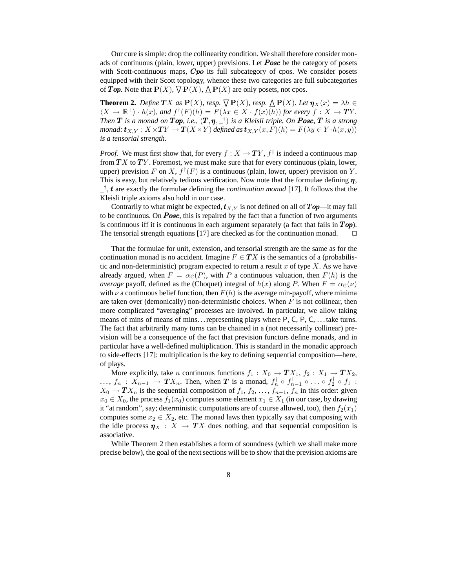Our cure is simple: drop the collinearity condition. We shall therefore consider monads of continuous (plain, lower, upper) previsions. Let **Posc** be the category of posets with Scott-continuous maps,  $Cpo$  its full subcategory of cpos. We consider posets equipped with their Scott topology, whence these two categories are full subcategories of Top. Note that  $\mathbf{P}(X)$ ,  $\nabla \mathbf{P}(X)$ ,  $\Delta \mathbf{P}(X)$  are only posets, not cpos.

**Theorem 2.** *Define*  $\mathbf{T}X$  *as*  $\mathbf{P}(X)$ *, resp.*  $\overline{\nabla} \mathbf{P}(X)$ *, resp.*  $\underline{\Delta} \mathbf{P}(X)$ *. Let*  $\eta_X(x) = \lambda h \in$  $\langle X \to \mathbb{R}^+ \rangle \cdot h(x)$ , and  $f^{\dagger}(F)(h) = F(\lambda x \in X \cdot f(x)(h))$  for every  $f : X \to T Y$ . *Then*  $T$  *is a monad on*  $Top$ , *i.e.,*  $(T, \eta, \_^\dagger)$  *is a Kleisli triple. On*  $Posc$ ,  $T$  *is a strong monad:*  $\mathbf{t}_{X,Y} : X \times TY \to T(X \times Y)$  *defined as*  $\mathbf{t}_{X,Y}(x,F)(h) = F(\lambda y \in Y \cdot h(x,y))$ *is a tensorial strength.*

*Proof.* We must first show that, for every  $f : X \to TY$ ,  $f^{\dagger}$  is indeed a continuous map from  $TX$  to  $TY$ . Foremost, we must make sure that for every continuous (plain, lower, upper) prevision F on X,  $f^{\dagger}(F)$  is a continuous (plain, lower, upper) prevision on Y. This is easy, but relatively tedious verification. Now note that the formulae defining  $\eta$ , \_ † , t are exactly the formulae defining the *continuation monad* [17]. It follows that the Kleisli triple axioms also hold in our case.

Contrarily to what might be expected,  $t_{X,Y}$  is not defined on all of  $Top$ —it may fail to be continuous. On  $Posc$ , this is repaired by the fact that a function of two arguments is continuous iff it is continuous in each argument separately (a fact that fails in  $Top$ ). The tensorial strength equations [17] are checked as for the continuation monad. □

That the formulae for unit, extension, and tensorial strength are the same as for the continuation monad is no accident. Imagine  $F \in TX$  is the semantics of a (probabilistic and non-deterministic) program expected to return a result x of type X. As we have already argued, when  $F = \alpha_{\mathcal{C}}(P)$ , with P a continuous valuation, then  $F(h)$  is the *average* payoff, defined as the (Choquet) integral of  $h(x)$  along P. When  $F = \alpha_{\mathcal{C}}(\nu)$ with  $\nu$  a continuous belief function, then  $F(h)$  is the average min-payoff, where minima are taken over (demonically) non-deterministic choices. When  $F$  is not collinear, then more complicated "averaging" processes are involved. In particular, we allow taking means of mins of means of mins. . . representing plays where P, C, P, C, . . . take turns. The fact that arbitrarily many turns can be chained in a (not necessarily collinear) prevision will be a consequence of the fact that prevision functors define monads, and in particular have a well-defined multiplication. This is standard in the monadic approach to side-effects [17]: multiplication is the key to defining sequential composition—here, of plays.

More explicitly, take *n* continuous functions  $f_1 : X_0 \to TX_1$ ,  $f_2 : X_1 \to TX_2$ , ...,  $f_n$  :  $X_{n-1}$  →  $TX_n$ . Then, when T is a monad,  $f_n^{\dagger} \circ f_{n-1}^{\dagger} \circ \ldots \circ f_2^{\dagger} \circ f_1$  :  $X_0 \to T X_n$  is the sequential composition of  $f_1, f_2, \ldots, f_{n-1}, f_n$  in this order: given  $x_0 \in X_0$ , the process  $f_1(x_0)$  computes some element  $x_1 \in X_1$  (in our case, by drawing it "at random", say; deterministic computations are of course allowed, too), then  $f_2(x_1)$ computes some  $x_2 \in X_2$ , etc. The monad laws then typically say that composing with the idle process  $\eta_X : X \to TX$  does nothing, and that sequential composition is associative.

While Theorem 2 then establishes a form of soundness (which we shall make more precise below), the goal of the next sections will be to show that the prevision axioms are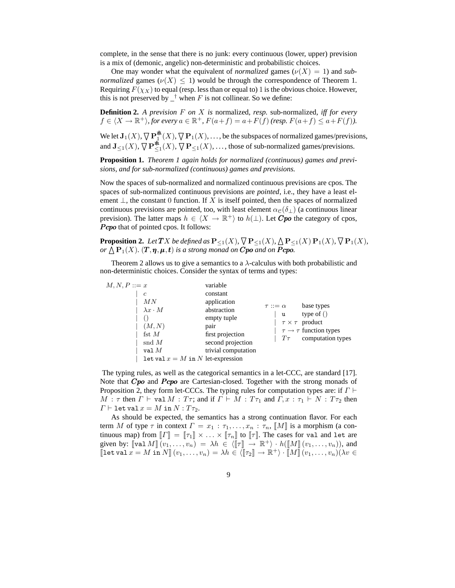complete, in the sense that there is no junk: every continuous (lower, upper) prevision is a mix of (demonic, angelic) non-deterministic and probabilistic choices.

One may wonder what the equivalent of *normalized* games ( $\nu(X) = 1$ ) and *subnormalized* games ( $\nu(X) \leq 1$ ) would be through the correspondence of Theorem 1. Requiring  $F(\chi_X)$  to equal (resp. less than or equal to) 1 is the obvious choice. However, this is not preserved by  $\perp$ <sup>†</sup> when F is not collinear. So we define:

**Definition 2.** *A prevision* F *on* X *is* normalized*, resp.* sub-normalized*, iff for every*  $f \in \langle X \to \mathbb{R}^+ \rangle$ , for every  $a \in \mathbb{R}^+$ ,  $F(a+f) = a + F(f)$  (resp.  $F(a+f) \le a + F(f)$ ).

We let  $J_1(X)$ ,  $\nabla \mathbf{P}_1^*(X)$ ,  $\nabla \mathbf{P}_1(X)$ , ..., be the subspaces of normalized games/previsions, and  $J_{\leq 1}(X)$ ,  $\nabla P_{\leq 1}^*(X)$ ,  $\nabla P_{\leq 1}(X)$ , ..., those of sub-normalized games/previsions.

**Proposition 1.** *Theorem 1 again holds for normalized (continuous) games and previsions, and for sub-normalized (continuous) games and previsions.*

Now the spaces of sub-normalized and normalized continuous previsions are cpos. The spaces of sub-normalized continuous previsions are *pointed*, i.e., they have a least element  $\perp$ , the constant 0 function. If X is itself pointed, then the spaces of normalized continuous previsions are pointed, too, with least element  $\alpha_{\mathcal{C}}(\delta_+)$  (a continuous linear prevision). The latter maps  $h \in \langle X \to \mathbb{R}^+ \rangle$  to  $h(\perp)$ . Let  $Cpo$  the category of cpos, **P**cpo that of pointed cpos. It follows:

**Proposition 2.** Let  $TX$  be defined as  $P_{\leq 1}(X)$ ,  $\bigtriangledown P_{\leq 1}(X)$ ,  $\bigtriangleup P_{\leq 1}(X)$   $P_1(X)$ ,  $\bigtriangledown P_1(X)$ , *or*  $\overline{\bigwedge}$  **P**<sub>1</sub>(X)*.* (**T**,  $\eta$ ,  $\mu$ , **t**) *is a strong monad on* **C**po *and on* **P**cpo.

Theorem 2 allows us to give a semantics to a  $\lambda$ -calculus with both probabilistic and non-deterministic choices. Consider the syntax of terms and types:

| $M, N, P ::= x$                                                                                                                              | variable                                                                                                                      |                                     |                                                                                                                         |
|----------------------------------------------------------------------------------------------------------------------------------------------|-------------------------------------------------------------------------------------------------------------------------------|-------------------------------------|-------------------------------------------------------------------------------------------------------------------------|
| $\mathfrak{c}$<br>MN<br>$\lambda x \cdot M$<br>(M, N)<br>fst $M$<br>$\operatorname{snd} M$<br>val $M$<br>Let val $x = M$ in N let-expression | constant<br>application<br>abstraction<br>empty tuple<br>pair<br>first projection<br>second projection<br>trivial computation | $\tau ::= \alpha$<br>u<br>$T\tau^-$ | base types<br>type of $()$<br>$\tau \times \tau$ product<br>$\tau \rightarrow \tau$ function types<br>computation types |
|                                                                                                                                              |                                                                                                                               |                                     |                                                                                                                         |

The typing rules, as well as the categorical semantics in a let-CCC, are standard [17]. Note that  $Cpo$  and  $Pcpo$  are Cartesian-closed. Together with the strong monads of Proposition 2, they form let-CCCs. The typing rules for computation types are: if  $\Gamma \vdash$  $M : \tau$  then  $\Gamma \vdash$  val  $M : T\tau$ ; and if  $\Gamma \vdash M : T\tau_1$  and  $\Gamma, x : \tau_1 \vdash N : T\tau_2$  then  $\Gamma \vdash \mathtt{let}\,\mathtt{val}\,x = M\,\mathtt{in}\,N : T\tau_2.$ 

As should be expected, the semantics has a strong continuation flavor. For each term M of type  $\tau$  in context  $\Gamma = x_1 : \tau_1, \ldots, x_n : \tau_n$ ,  $\llbracket M \rrbracket$  is a morphism (a continuous map) from  $\llbracket \Gamma \rrbracket = \llbracket \tau_1 \rrbracket \times \ldots \times \llbracket \tau_n \rrbracket$  to  $\llbracket \tau \rrbracket$ . The cases for val and let are given by:  $\llbracket \text{val } M \rrbracket \ (v_1, \ldots, v_n) = \lambda h \in \langle \llbracket \tau \rrbracket \to \mathbb{R}^+ \rangle \cdot h(\llbracket M \rrbracket \ (v_1, \ldots, v_n)),$  and  $\llbracket \texttt{let val } x = M \texttt{ in } N \rrbracket \, (v_1, \ldots, v_n) = \lambda h \in \langle \llbracket \tau_2 \rrbracket \to \mathbb{R}^+ \rangle \cdot \llbracket M \rrbracket \, (v_1, \ldots, v_n) (\lambda v \in \mathbb{R}^n)$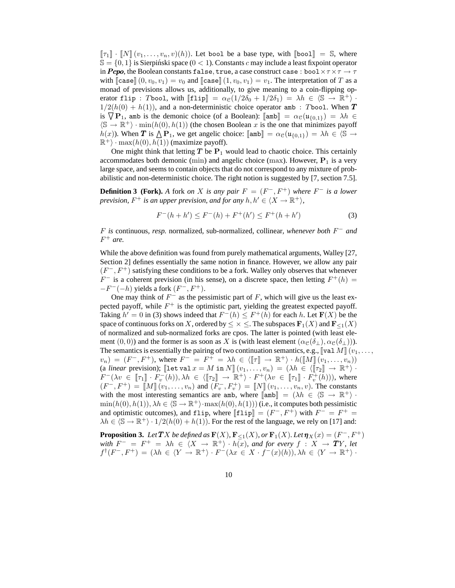$\llbracket \tau_1 \rrbracket \cdot \llbracket N \rrbracket (v_1, \ldots, v_n, v)(h)$ . Let bool be a base type, with  $\llbracket$ bool $\rrbracket = \mathbb{S}$ , where  $\mathbb{S} = \{0, 1\}$  is Sierpiński space ( $0 < 1$ ). Constants c may include a least fixpoint operator in Pcpo, the Boolean constants false, true, a case construct case : bool $\times \tau \times \tau \rightarrow \tau$ with  $\llbracket \text{case} \rrbracket (0, v_0, v_1) = v_0$  and  $\llbracket \text{case} \rrbracket (1, v_0, v_1) = v_1$ . The interpretation of T as a monad of previsions allows us, additionally, to give meaning to a coin-flipping operator flip : Tbool, with  $[\![\text{flip}]\!] = \alpha_{\mathcal{C}}(1/2\delta_0 + 1/2\delta_1) = \lambda h \in \langle \mathbb{S} \to \mathbb{R}^+ \rangle$ .  $1/2(h(0) + h(1))$ , and a non-deterministic choice operator amb : Tbool. When T is  $\nabla \mathbf{P}_1$ , amb is the demonic choice (of a Boolean):  $[\![\mathsf{amb}]\!] = \alpha_{\mathcal{C}}(\mathfrak{u}_{\{0,1\}}) = \lambda h \in$  $\langle \mathbb{S} \to \mathbb{R}^+ \rangle \cdot \min(h(0), h(1))$  (the chosen Boolean x is the one that minimizes payoff  $h(x)$ ). When T is  $\bigwedge^{\bullet} P_1$ , we get angelic choice:  $[\![\text{amb}]\!] = \alpha_{\mathcal{C}}(\mathfrak{u}_{\{0,1\}}) = \lambda h \in \mathcal{S} \rightarrow$  $\mathbb{R}^+$  · max $(h(0), h(1))$  (maximize payoff).

One might think that letting  $T$  be  $P_1$  would lead to chaotic choice. This certainly accommodates both demonic (min) and angelic choice (max). However,  $P_1$  is a very large space, and seems to contain objects that do not correspond to any mixture of probabilistic and non-deterministic choice. The right notion is suggested by [7, section 7.5].

**Definition 3 (Fork).** A fork *on* X is any pair  $F = (F^-, F^+)$  where  $F^-$  is a lower *prevision,*  $F^+$  *is an upper prevision, and for any*  $h, h' \in \langle X \rightarrow \mathbb{R}^+ \rangle$ *,* 

$$
F^-(h+h') \le F^-(h) + F^+(h') \le F^+(h+h')
$$
\n(3)

F *is* continuous*, resp.* normalized*,* sub-normalized*,* collinear*, whenever both* F <sup>−</sup> *and* F <sup>+</sup> *are.*

While the above definition was found from purely mathematical arguments, Walley [27, Section 2] defines essentially the same notion in finance. However, we allow any pair  $(F^-, F^+)$  satisfying these conditions to be a fork. Walley only observes that whenever  $F^-$  is a coherent prevision (in his sense), on a discrete space, then letting  $F^+(h)$  =  $-F^{-}(-h)$  yields a fork  $(F^-, F^+).$ 

One may think of  $F^-$  as the pessimistic part of F, which will give us the least expected payoff, while  $F^+$  is the optimistic part, yielding the greatest expected payoff. Taking  $h' = 0$  in (3) shows indeed that  $F^{-}(h) \leq F^{+}(h)$  for each h. Let  $F(X)$  be the space of continuous forks on X, ordered by  $\leq \times \leq$ . The subspaces  $\mathbf{F}_1(X)$  and  $\mathbf{F}_{\leq 1}(X)$ of normalized and sub-normalized forks are cpos. The latter is pointed (with least element (0, 0)) and the former is as soon as X is (with least element  $(\alpha_{\mathcal{C}}(\delta_{\perp}), \alpha_{\mathcal{C}}(\delta_{\perp}))$ . The semantics is essentially the pairing of two continuation semantics, e.g.,  $\left[\forall a \in M\right](v_1, \ldots,$  $v_n) = (F^-, F^+)$ , where  $F^- = F^+ = \lambda h \in (\llbracket \tau \rrbracket \to \mathbb{R}^+ \rangle \cdot h(\llbracket M \rrbracket (\nu_1, \ldots, \nu_n))$ (a *linear* prevision);  $\llbracket \text{let val } x = M \text{ in } N \rrbracket (v_1, \ldots, v_n) = (\lambda h \in \langle \llbracket \tau_2 \rrbracket \rightarrow \mathbb{R}^+ \rangle$ .  $F^-(\lambda v \in [\![\tau_1]\!] \cdot F_v^-(h)), \lambda h \in \langle [\![\tau_2]\!] \rightarrow \mathbb{R}^+ \rangle \cdot F^+(\lambda v \in [\![\tau_1]\!] \cdot F_v^+(\bar{h}))),$  where  $(F^-, F^+) = [\![M]\!](v_1, \ldots, v_n)$  and  $(F_v^-, F_v^+) = [\![N]\!](v_1, \ldots, v_n, v)$ . The constants with the most interesting semantics are amb, where  $\llbracket \text{amb} \rrbracket = (\lambda h \in \langle \mathbb{S} \to \mathbb{R}^+ \rangle$ .  $\min(h(0), h(1)), \lambda h \in \langle \mathbb{S} \to \mathbb{R}^+ \rangle \cdot \max(h(0), h(1))\rangle$  (i.e., it computes both pessimistic and optimistic outcomes), and flip, where  $[\![\text{flip}]\!] = (F^-, F^+)$  with  $F^- = F^+ =$  $\lambda h \in \langle \mathbb{S} \to \mathbb{R}^+ \rangle \cdot 1/2(h(0) + h(1))$ . For the rest of the language, we rely on [17] and:

**Proposition 3.** Let  $TX$  be defined as  $\mathbf{F}(X)$ ,  $\mathbf{F}_{\leq 1}(X)$ , or  $\mathbf{F}_1(X)$ . Let  $\pmb{\eta}_X(x) = (F^-, F^+)$ *with*  $F^- = F^+ = \lambda h \in \langle X \to \mathbb{R}^+ \rangle \cdot h(x)$ *, and for every*  $f : X \to \mathbf{T}Y$ *, let*  $f^{\dagger}(F^-, F^+) = (\lambda h \in \langle Y \to \mathbb{R}^+ \rangle \cdot F^-(\lambda x \in X \cdot f^-(x)(h)), \lambda h \in \langle Y \to \mathbb{R}^+ \rangle$ .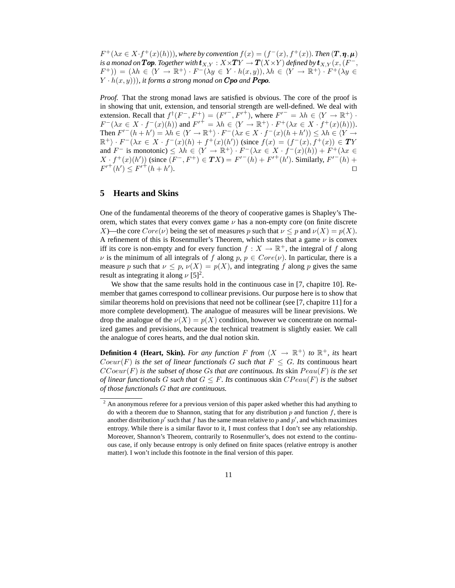$F^+(\lambda x \in X \cdot f^+(x)(h))$ , where by convention  $f(x) = (f^-(x), f^+(x))$ . Then  $(T, \eta, \mu)$ is a monad on  $\textbf{Top}.$  Together with  $\textbf{t}_{X,Y}:X{\times}\textbf{TY}\to \textbf{T}(X{\times}Y)$  defined by  $\textbf{t}_{X,Y}(x,(F^-,X))$  $(F^+)$  =  $(\lambda h \in \langle Y \to \mathbb{R}^+ \rangle \cdot F^-(\lambda y \in Y \cdot h(x,y)), \lambda h \in \langle Y \to \mathbb{R}^+ \rangle \cdot F^+(\lambda y \in Y)$  $(Y \cdot h(x, y))$ , it forms a strong monad on **Cpo** and **Pcpo**.

*Proof.* That the strong monad laws are satisfied is obvious. The core of the proof is in showing that unit, extension, and tensorial strength are well-defined. We deal with extension. Recall that  $f^{\dagger}(F^-, F^+) = (F'^-, F'^+),$  where  $F'^- = \lambda h \in \langle Y \to \mathbb{R}^+ \rangle$ .  $F^-(\lambda x \in X \cdot f^-(x)(h))$  and  $F'^{+} = \lambda h \in \langle Y \to \mathbb{R}^+ \rangle \cdot F^+(\lambda x \in X \cdot f^+(x)(h))$ . Then  $F'^{(h+h')} = \lambda h \in \langle Y \to \mathbb{R}^+ \rangle \cdot F^{-}(\lambda x \in X \cdot f^{-}(x)(h+h')) \leq \lambda h \in \langle Y \to$  $\mathbb{R}^+$ ) ·  $F^-(\lambda x \in X \cdot f^-(x)(h) + f^+(x)(h'))$  (since  $f(x) = (f^-(x), f^+(x)) \in TY$ and  $F^-$  is monotonic)  $\leq \lambda h \in \langle Y \to \mathbb{R}^+ \rangle \cdot F^-(\lambda x \in X \cdot f^-(x)(h)) + F^+(\lambda x \in Y)$  $X \cdot f^+(x)(h')$  (since  $(F^-, F^+) \in TX$ ) =  $F'^-(h) + F'^+(h')$ . Similarly,  $F'^-(h)$  +  $F'^{+}(h') \leq F'^{+}(h + h')$ ). ⊓⊔

#### **5 Hearts and Skins**

One of the fundamental theorems of the theory of cooperative games is Shapley's Theorem, which states that every convex game  $\nu$  has a non-empty core (on finite discrete X)—the core  $Core(\nu)$  being the set of measures p such that  $\nu \leq p$  and  $\nu(X) = p(X)$ . A refinement of this is Rosenmuller's Theorem, which states that a game  $\nu$  is convex iff its core is non-empty and for every function  $f: X \to \mathbb{R}^+$ , the integral of f along  $\nu$  is the minimum of all integrals of f along  $p, p \in Core(\nu)$ . In particular, there is a measure p such that  $\nu \leq p$ ,  $\nu(X) = p(X)$ , and integrating f along p gives the same result as integrating it along  $\nu$  [5]<sup>2</sup>.

We show that the same results hold in the continuous case in [7, chapitre 10]. Remember that games correspond to collinear previsions. Our purpose here is to show that similar theorems hold on previsions that need not be collinear (see [7, chapitre 11] for a more complete development). The analogue of measures will be linear previsions. We drop the analogue of the  $\nu(X) = p(X)$  condition, however we concentrate on normalized games and previsions, because the technical treatment is slightly easier. We call the analogue of cores hearts, and the dual notion skin.

**Definition 4 (Heart, Skin).** *For any function*  $F$  *from*  $\langle X \rightarrow \mathbb{R}^+ \rangle$  *to*  $\mathbb{R}^+$ *, its* heart  $Coeur(F)$  *is the set of linear functionals* G *such that*  $F \le G$ *. Its continuous heart*  $CCoeur(F)$  *is the subset of those Gs that are continuous. Its skin*  $Peau(F)$  *is the set of linear functionals* G *such that*  $G \leq F$ *. Its continuous skin*  $CPeau(F)$  *is the subset of those functionals* G *that are continuous.*

<sup>2</sup> An anonymous referee for a previous version of this paper asked whether this had anything to do with a theorem due to Shannon, stating that for any distribution  $p$  and function  $f$ , there is another distribution  $p'$  such that f has the same mean relative to p and  $p'$ , and which maximizes entropy. While there is a similar flavor to it, I must confess that I don't see any relationship. Moreover, Shannon's Theorem, contrarily to Rosenmuller's, does not extend to the continuous case, if only because entropy is only defined on finite spaces (relative entropy is another matter). I won't include this footnote in the final version of this paper.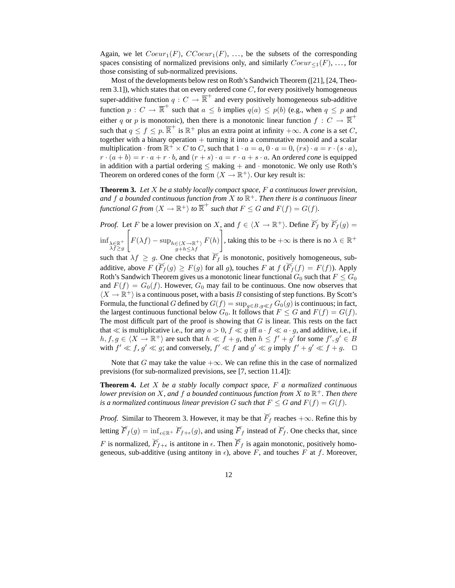Again, we let  $Coeur_1(F)$ ,  $CCoeur_1(F)$ , ..., be the subsets of the corresponding spaces consisting of normalized previsions only, and similarly  $Coeur_{\leq 1}(F), \ldots$ , for those consisting of sub-normalized previsions.

Most of the developments below rest on Roth's Sandwich Theorem ([21], [24, Theorem 3.1]), which states that on every ordered cone  $C$ , for every positively homogeneous super-additive function  $q: C \to \overline{\mathbb{R}}^+$  and every positively homogeneous sub-additive function  $p: C \to \overline{\mathbb{R}}^+$  such that  $a \leq b$  implies  $q(a) \leq p(b)$  (e.g., when  $q \leq p$  and either q or p is monotonic), then there is a monotonic linear function  $f: C \to \overline{\mathbb{R}}^+$ such that  $q \le f \le p$ .  $\overline{\mathbb{R}}^+$  is  $\mathbb{R}^+$  plus an extra point at infinity  $+\infty$ . A *cone* is a set C, together with a binary operation  $+$  turning it into a commutative monoid and a scalar multiplication  $\cdot$  from  $\mathbb{R}^+ \times C$  to C, such that  $1 \cdot a = a$ ,  $0 \cdot a = 0$ ,  $(rs) \cdot a = r \cdot (s \cdot a)$ ,  $r \cdot (a + b) = r \cdot a + r \cdot b$ , and  $(r + s) \cdot a = r \cdot a + s \cdot a$ . An *ordered cone* is equipped in addition with a partial ordering  $\leq$  making  $+$  and  $\cdot$  monotonic. We only use Roth's Theorem on ordered cones of the form  $\langle X \to \mathbb{R}^+ \rangle$ . Our key result is:

**Theorem 3.** *Let* X *be a stably locally compact space,* F *a continuous lower prevision, and* f *a bounded continuous function from* X *to* R <sup>+</sup>*. Then there is a continuous linear* functional G from  $\langle X \to \mathbb{R}^+ \rangle$  to  $\overline{\mathbb{R}}^+$  such that  $F \leq G$  and  $F(f) = G(f)$ *.* 

*Proof.* Let F be a lower prevision on X, and  $f \in \langle X \to \mathbb{R}^+ \rangle$ . Define  $\overline{F}_f$  by  $\overline{F}_f(g)$  =  $\inf_{\lambda \in \mathbb{R}^+}$  $\lambda f \geq g$  $\sqrt{ }$  $F(\lambda f) - \sup_{\substack{h \in \langle X \to \mathbb{R}^+ \rangle \\ g+h \leq \lambda f}}$  $F(h)$ , taking this to be  $+\infty$  is there is no  $\lambda \in \mathbb{R}^+$ 

such that  $\lambda f \geq g$ . One checks that  $\overline{F}_f$  is monotonic, positively homogeneous, subadditive, above  $F$  ( $\overline{F}_f(g) \ge F(g)$  for all g), touches  $F$  at  $f$  ( $\overline{F}_f(f) = F(f)$ ). Apply Roth's Sandwich Theorem gives us a monotonic linear functional  $G_0$  such that  $F \leq G_0$ and  $F(f) = G_0(f)$ . However,  $G_0$  may fail to be continuous. One now observes that  $\langle X \to \mathbb{R}^+ \rangle$  is a continuous poset, with a basis B consisting of step functions. By Scott's Formula, the functional G defined by  $G(f) = \sup_{g \in B, g \ll f} G_0(g)$  is continuous; in fact, the largest continuous functional below  $G_0$ . It follows that  $F \leq G$  and  $F(f) = G(f)$ . The most difficult part of the proof is showing that  $G$  is linear. This rests on the fact that  $\ll$  is multiplicative i.e., for any  $a > 0$ ,  $f \ll g$  iff  $a \cdot f \ll a \cdot g$ , and additive, i.e., if  $h, f, g \in \langle X \to \mathbb{R}^+ \rangle$  are such that  $h \ll f + g$ , then  $h \leq f' + g'$  for some  $f', g' \in B$ with  $f' \ll f, g' \ll g$ ; and conversely,  $f' \ll f$  and  $g' \ll g$  imply  $f' + g' \ll f + g$ .  $\Box$ 

Note that G may take the value  $+\infty$ . We can refine this in the case of normalized previsions (for sub-normalized previsions, see [7, section 11.4]):

**Theorem 4.** *Let* X *be a stably locally compact space,* F *a normalized continuous lower prevision on* X*, and* f *a bounded continuous function from* X *to* R <sup>+</sup>*. Then there is a normalized continuous linear prevision* G *such that*  $F \leq G$  *and*  $F(f) = G(f)$ *.* 

*Proof.* Similar to Theorem 3. However, it may be that  $\overline{F}_f$  reaches  $+\infty$ . Refine this by letting  $\overline{F}_f(g) = \inf_{\epsilon \in \mathbb{R}^+} \overline{F}_{f+\epsilon}(g)$ , and using  $\overline{F}_f$  instead of  $\overline{F}_f$ . One checks that, since F is normalized,  $\overline{F}_{f+\epsilon}$  is antitone in  $\epsilon$ . Then  $\overline{F}_f$  is again monotonic, positively homogeneous, sub-additive (using antitony in  $\epsilon$ ), above F, and touches F at f. Moreover,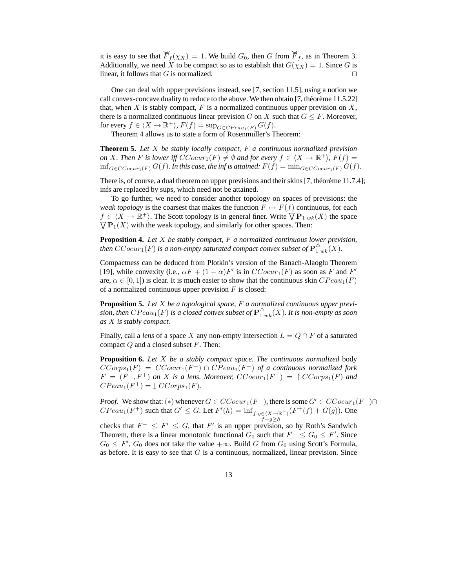it is easy to see that  $\overline{F}_f(\chi_X) = 1$ . We build  $G_0$ , then G from  $\overline{F}_f$ , as in Theorem 3. Additionally, we need X to be compact so as to establish that  $G(\chi_X) = 1$ . Since G is linear, it follows that  $G$  is normalized.

One can deal with upper previsions instead, see [7, section 11.5], using a notion we call convex-concave duality to reduce to the above. We then obtain [7, théorème 11.5.22] that, when X is stably compact,  $F$  is a normalized continuous upper prevision on X, there is a normalized continuous linear prevision G on X such that  $G \leq F$ . Moreover, for every  $f \in \langle X \to \mathbb{R}^+ \rangle$ ,  $F(f) = \sup_{G \in CP \in {\cal CR}^2} G(f)$ .

Theorem 4 allows us to state a form of Rosenmuller's Theorem:

**Theorem 5.** *Let* X *be stably locally compact,* F *a continuous normalized prevision on* X. Then F is lower iff  $CCoeur_1(F) \neq \emptyset$  and for every  $f \in \langle X \to \mathbb{R}^+ \rangle$ ,  $F(f) =$ inf<sub>G∈CCoeur<sub>1</sub>(F)</sub>  $G(f)$ *. In this case, the inf is attained:*  $F(f) = \min_{G \in CCoeur_1(F)} G(f)$ *.* 

There is, of course, a dual theorem on upper previsions and their skins [7, théorème 11.7.4]; infs are replaced by sups, which need not be attained.

To go further, we need to consider another topology on spaces of previsions: the *weak topology* is the coarsest that makes the function  $F \mapsto F(f)$  continuous, for each  $f \in \langle X \to \mathbb{R}^+ \rangle$ . The Scott topology is in general finer. Write  $\nabla \mathbf{P}_{1 w k}(X)$  the space  $\nabla \mathbf{P}_1(X)$  with the weak topology, and similarly for other spaces. Then:

**Proposition 4.** *Let* X *be stably compact,* F *a normalized continuous lower prevision,* then  $CCoeur_1(F)$  is a non-empty saturated compact convex subset of  ${\bf P}_{1\;wk}^\Delta(X)$ .

Compactness can be deduced from Plotkin's version of the Banach-Alaoglu Theorem [19], while convexity (i.e.,  $\alpha F + (1 - \alpha)F'$  is in  $CCoeur_1(F)$  as soon as F and F' are,  $\alpha \in [0, 1]$ ) is clear. It is much easier to show that the continuous skin  $CPeau_1(F)$ of a normalized continuous upper prevision  $F$  is closed:

**Proposition 5.** *Let* X *be a topological space,* F *a normalized continuous upper previ*sion, then  $CPeau_1(F)$  is a closed convex subset of  ${\bf P}_{1\,uk}^\Delta(X).$  It is non-empty as soon *as* X *is stably compact.*

Finally, call a *lens* of a space X any non-empty intersection  $L = Q \cap F$  of a saturated compact  $Q$  and a closed subset  $F$ . Then:

**Proposition 6.** *Let* X *be a stably compact space. The continuous normalized* body  $CCorps_1(F) = CCoeur_1(F^-) \cap CPeau_1(F^+)$  of a continuous normalized fork  $F = (F^-, F^+)$  on X is a lens. Moreover,  $CCoeur_1(F^-) = \uparrow CCorps_1(F)$  and  $CPeau_1(F^+) = \downarrow CCorps_1(F)$ .

*Proof.* We show that: (\*) whenever  $G \in CCoeur_1(F^-)$ , there is some  $G' \in CCoeur_1(F^-) \cap$  $\text{C}Peau_1(F^+)$  such that  $G' \leq G$ . Let  $F'(h) = \inf_{f,g \in (X \to \mathbb{R}^+)} (F^+(f) + G(g))$ . One

checks that  $F^- \leq F' \leq G$ , that  $F'$  is an upper prevision, so by Roth's Sandwich Theorem, there is a linear monotonic functional  $G_0$  such that  $F^- \leq G_0 \leq F'$ . Since  $G_0 \leq F'$ ,  $G_0$  does not take the value  $+\infty$ . Build G from  $G_0$  using Scott's Formula, as before. It is easy to see that  $G$  is a continuous, normalized, linear prevision. Since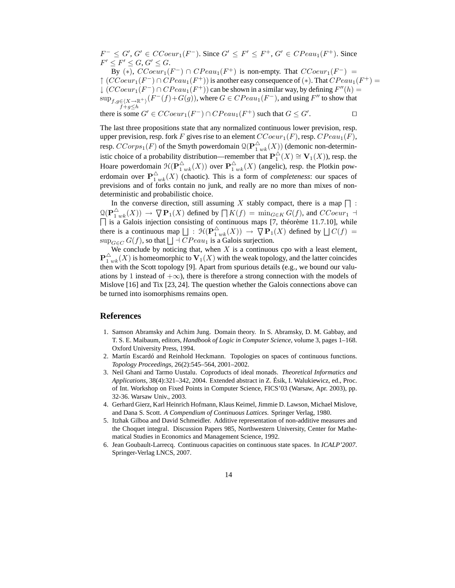$F^- \leq G'$ ,  $G' \in CCoeur_1(F^-)$ . Since  $G' \leq F' \leq F^+$ ,  $G' \in CPeau_1(F^+)$ . Since  $F' \leq F' \leq G, G' \leq G.$ 

By (\*),  $CCoeur_1(F^-) \cap CPeau_1(F^+)$  is non-empty. That  $CCoeur_1(F^-) =$  $\uparrow$  (CCoeur<sub>1</sub>(F<sup>-</sup>)  $\cap$  CPeau<sub>1</sub>(F<sup>+</sup>)) is another easy consequence of (\*). That CPeau<sub>1</sub>(F<sup>+</sup>) =  $\downarrow$  (CCoeur<sub>1</sub>(F<sup>-</sup>)  $\cap$  CPeau<sub>1</sub>(F<sup>+</sup>)) can be shown in a similar way, by defining  $F''(h)$  =  $\sup_{f,g\in\langle X\rightarrow\mathbb{R}^+ \rangle}(F^-(f)+G(g))$ , where  $G\in CPeau_1(F^-)$ , and using  $F''$  to show that  $f+q \leq h$ there is some  $G' \in CCoeur_1(F^-) \cap CPeau_1(F^+)$  such that  $G \leq G'$  $\Box$ 

The last three propositions state that any normalized continuous lower prevision, resp. upper prevision, resp. fork F gives rise to an element  $CCoeur_1(F)$ , resp.  $CPeau_1(F)$ , resp.  $CCorps_1(F)$  of the Smyth powerdomain  $\mathcal{Q}(\mathbf{P}^\triangle_1{}_{wk}(X))$  (demonic non-deterministic choice of a probability distribution—remember that  $\mathbf{P}_1^{\triangle}(X) \cong \mathbf{V}_1(X)$ ), resp. the Hoare powerdomain  $\mathfrak{H}(\mathbf{P}_{1wk}^{\triangle}(X))$  over  $\mathbf{P}_{1wk}^{\triangle}(X)$  (angelic), resp. the Plotkin powerdomain over  $\mathbf{P}_{1 w k}^{\triangle}(X)$  (chaotic). This is a form of *completeness*: our spaces of previsions and of forks contain no junk, and really are no more than mixes of nondeterministic and probabilistic choice.

In the converse direction, still assuming X stably compact, there is a map  $\Box$ :  $\mathcal{Q}(\mathbf{P}_{1 w k}^{\Delta}(X)) \to \nabla \mathbf{P}_{1}(X)$  defined by  $\prod K(f) = \min_{G \in K} G(f)$ , and  $CCoeur_1$  - $\Box$  is a Galois injection consisting of continuous maps [7, théorème 11.7.10], while there is a continuous map  $\Box$ :  $\mathcal{H}(\mathbf{P}_{1 w k}^{\triangle}(X)) \rightarrow \overline{\nabla} \mathbf{P}_1(X)$  defined by  $\Box C(f)$  =  $\sup_{G \in \mathcal{C}} G(f)$ , so that  $\Box \dashv CP e a u_1$  is a Galois surjection.

We conclude by noticing that, when  $X$  is a continuous cpo with a least element,  ${\bf P}_{1\,wk}^\triangle(X)$  is homeomorphic to  ${\bf V}_1(X)$  with the weak topology, and the latter coincides then with the Scott topology [9]. Apart from spurious details (e.g., we bound our valuations by 1 instead of  $+\infty$ ), there is therefore a strong connection with the models of Mislove [16] and Tix [23, 24]. The question whether the Galois connections above can be turned into isomorphisms remains open.

#### **References**

- 1. Samson Abramsky and Achim Jung. Domain theory. In S. Abramsky, D. M. Gabbay, and T. S. E. Maibaum, editors, *Handbook of Logic in Computer Science*, volume 3, pages 1–168. Oxford University Press, 1994.
- 2. Martín Escardó and Reinhold Heckmann. Topologies on spaces of continuous functions. *Topology Proceedings*, 26(2):545–564, 2001–2002.
- 3. Neil Ghani and Tarmo Uustalu. Coproducts of ideal monads. *Theoretical Informatics and Applications*, 38(4):321–342, 2004. Extended abstract in Z. Ésik, I. Walukiewicz, ed., Proc. of Int. Workshop on Fixed Points in Computer Science, FICS'03 (Warsaw, Apr. 2003), pp. 32-36. Warsaw Univ., 2003.
- 4. Gerhard Gierz, Karl Heinrich Hofmann, Klaus Keimel, Jimmie D. Lawson, Michael Mislove, and Dana S. Scott. *A Compendium of Continuous Lattices*. Springer Verlag, 1980.
- 5. Itzhak Gilboa and David Schmeidler. Additive representation of non-additive measures and the Choquet integral. Discussion Papers 985, Northwestern University, Center for Mathematical Studies in Economics and Management Science, 1992.
- 6. Jean Goubault-Larrecq. Continuous capacities on continuous state spaces. In *ICALP'2007*. Springer-Verlag LNCS, 2007.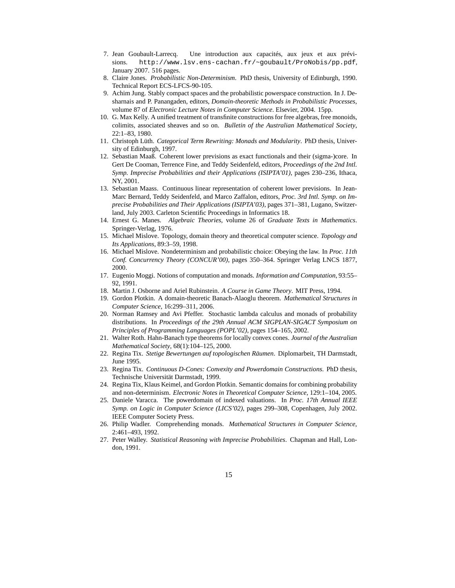- 7. Jean Goubault-Larrecq. Une introduction aux capacités, aux jeux et aux prévisions. http://www.lsv.ens-cachan.fr/~goubault/ProNobis/pp.pdf, January 2007. 516 pages.
- 8. Claire Jones. *Probabilistic Non-Determinism*. PhD thesis, University of Edinburgh, 1990. Technical Report ECS-LFCS-90-105.
- 9. Achim Jung. Stably compact spaces and the probabilistic powerspace construction. In J. Desharnais and P. Panangaden, editors, *Domain-theoretic Methods in Probabilistic Processes*, volume 87 of *Electronic Lecture Notes in Computer Science*. Elsevier, 2004. 15pp.
- 10. G. Max Kelly. A unified treatment of transfinite constructions for free algebras, free monoids, colimits, associated sheaves and so on. *Bulletin of the Australian Mathematical Society*, 22:1–83, 1980.
- 11. Christoph Lüth. *Categorical Term Rewriting: Monads and Modularity*. PhD thesis, University of Edinburgh, 1997.
- 12. Sebastian Maaß. Coherent lower previsions as exact functionals and their (sigma-)core. In Gert De Cooman, Terrence Fine, and Teddy Seidenfeld, editors, *Proceedings of the 2nd Intl. Symp. Imprecise Probabilities and their Applications (ISIPTA'01)*, pages 230–236, Ithaca, NY, 2001.
- 13. Sebastian Maass. Continuous linear representation of coherent lower previsions. In Jean-Marc Bernard, Teddy Seidenfeld, and Marco Zaffalon, editors, *Proc. 3rd Intl. Symp. on Imprecise Probabilities and Their Applications (ISIPTA'03)*, pages 371–381, Lugano, Switzerland, July 2003. Carleton Scientific Proceedings in Informatics 18.
- 14. Ernest G. Manes. *Algebraic Theories*, volume 26 of *Graduate Texts in Mathematics*. Springer-Verlag, 1976.
- 15. Michael Mislove. Topology, domain theory and theoretical computer science. *Topology and Its Applications*, 89:3–59, 1998.
- 16. Michael Mislove. Nondeterminism and probabilistic choice: Obeying the law. In *Proc. 11th Conf. Concurrency Theory (CONCUR'00)*, pages 350–364. Springer Verlag LNCS 1877, 2000.
- 17. Eugenio Moggi. Notions of computation and monads. *Information and Computation*, 93:55– 92, 1991.
- 18. Martin J. Osborne and Ariel Rubinstein. *A Course in Game Theory*. MIT Press, 1994.
- 19. Gordon Plotkin. A domain-theoretic Banach-Alaoglu theorem. *Mathematical Structures in Computer Science*, 16:299–311, 2006.
- 20. Norman Ramsey and Avi Pfeffer. Stochastic lambda calculus and monads of probability distributions. In *Proceedings of the 29th Annual ACM SIGPLAN-SIGACT Symposium on Principles of Programming Languages (POPL'02)*, pages 154–165, 2002.
- 21. Walter Roth. Hahn-Banach type theorems for locally convex cones. *Journal of the Australian Mathematical Society*, 68(1):104–125, 2000.
- 22. Regina Tix. *Stetige Bewertungen auf topologischen Räumen*. Diplomarbeit, TH Darmstadt, June 1995.
- 23. Regina Tix. *Continuous D-Cones: Convexity and Powerdomain Constructions*. PhD thesis, Technische Universität Darmstadt, 1999.
- 24. Regina Tix, Klaus Keimel, and Gordon Plotkin. Semantic domains for combining probability and non-determinism. *Electronic Notes in Theoretical Computer Science*, 129:1–104, 2005.
- 25. Daniele Varacca. The powerdomain of indexed valuations. In *Proc. 17th Annual IEEE Symp. on Logic in Computer Science (LICS'02)*, pages 299–308, Copenhagen, July 2002. IEEE Computer Society Press.
- 26. Philip Wadler. Comprehending monads. *Mathematical Structures in Computer Science*, 2:461–493, 1992.
- 27. Peter Walley. *Statistical Reasoning with Imprecise Probabilities*. Chapman and Hall, London, 1991.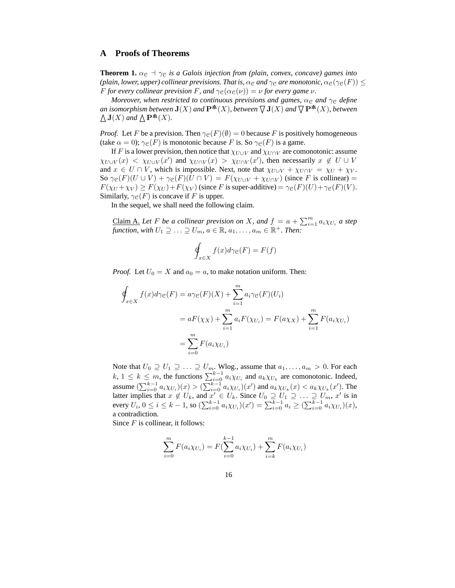#### **A Proofs of Theorems**

**Theorem 1.**  $\alpha_{\mathcal{C}} \dashv \gamma_{\mathcal{C}}$  *is a Galois injection from (plain, convex, concave) games into (plain, lower, upper) collinear previsions. That is,*  $\alpha_{\mathcal{C}}$  *and*  $\gamma_{\mathcal{C}}$  *are monotonic,*  $\alpha_{\mathcal{C}}(\gamma_{\mathcal{C}}(F)) \leq$ *F for every collinear prevision F*, and  $\gamma_{\mathcal{C}}(\alpha_{\mathcal{C}}(\nu)) = \nu$  *for every game*  $\nu$ *.* 

*Moreover, when restricted to continuous previsions and games,*  $\alpha_{\mathcal{C}}$  *and*  $\gamma_{\mathcal{C}}$  *define an isomorphism between*  $J(X)$  *and*  $P^*(X)$ *, between*  $\nabla J(X)$  *and*  $\nabla P^*(X)$ *, between*  $\Delta$ **J**(*X*) and  $\Delta$ **P**<sup>\*</sup>**(***X***).** 

*Proof.* Let F be a prevision. Then  $\gamma_{\mathcal{C}}(F)(\emptyset) = 0$  because F is positively homogeneous (take  $\alpha = 0$ );  $\gamma_{\mathcal{C}}(F)$  is monotonic because F is. So  $\gamma_{\mathcal{C}}(F)$  is a game.

If F is a lower prevision, then notice that  $\chi_{U\cup V}$  and  $\chi_{U\cap V}$  are comonotonic: assume  $\chi_{U\cup V}(x) < \chi_{U\cup V}(x')$  and  $\chi_{U\cap V}(x) > \chi_{U\cap V}(x')$ , then necessarily  $x \notin U \cup V$ and  $x \in U \cap V$ , which is impossible. Next, note that  $\chi_{U \cup V} + \chi_{U \cap V} = \chi_U + \chi_V$ . So  $\gamma_{\mathcal{C}}(F)(U \cup V) + \gamma_{\mathcal{C}}(F)(U \cap V) = F(\chi_{U \cup V} + \chi_{U \cap V})$  (since F is collinear) =  $F(\chi_U + \chi_V) \geq F(\chi_U) + F(\chi_V)$  (since F is super-additive) =  $\gamma e(F)(U) + \gamma e(F)(V)$ . Similarly,  $\gamma_{\mathcal{C}}(F)$  is concave if F is upper.

In the sequel, we shall need the following claim.

<u>Claim A.</u> Let *F* be a collinear prevision on *X*, and  $f = a + \sum_{i=1}^{m} a_i \chi_{U_i}$  a step *function, with*  $U_1 \supseteq \ldots \supseteq U_m$ ,  $a \in \mathbb{R}$ ,  $a_1, \ldots, a_m \in \mathbb{R}^+$ . Then:

$$
\oint_{x \in X} f(x) d\gamma_{\mathcal{C}}(F) = F(f)
$$

*Proof.* Let  $U_0 = X$  and  $a_0 = a$ , to make notation uniform. Then:

$$
\oint_{x \in X} f(x) d\gamma e(F) = a\gamma e(F)(X) + \sum_{i=1}^{m} a_i \gamma e(F)(U_i)
$$
\n
$$
= aF(\chi_X) + \sum_{i=1}^{m} a_i F(\chi_{U_i}) = F(a\chi_X) + \sum_{i=1}^{m} F(a_i \chi_{U_i})
$$
\n
$$
= \sum_{i=0}^{m} F(a_i \chi_{U_i})
$$

Note that  $U_0 \supseteq U_1 \supseteq \ldots \supseteq U_m$ . Wlog., assume that  $a_1, \ldots, a_m > 0$ . For each  $k, 1 \leq k \leq m$ , the functions  $\sum_{i=0}^{k-1} a_i \chi_{U_i}$  and  $a_k \chi_{U_k}$  are comonotonic. Indeed, assume  $(\sum_{i=0}^{k-1} a_i \chi_{U_i})(x) > (\sum_{i=0}^{k-1} a_i \chi_{U_i})(x')$  and  $a_k \chi_{U_k}(x) < a_k \chi_{U_k}(x')$ . The latter implies that  $x \notin U_k$ , and  $x' \in U_k$ . Since  $U_0 \supseteq U_1 \supseteq \ldots \supseteq U_m$ ,  $x'$  is in every  $U_i$ ,  $0 \le i \le k - 1$ , so  $(\sum_{i=0}^{k-1} a_i \chi_{U_i})(x') = \sum_{i=0}^{k-1} a_i \ge (\sum_{i=0}^{k-1} a_i \chi_{U_i})(x)$ , a contradiction.

Since  $F$  is collinear, it follows:

$$
\sum_{i=0}^{m} F(a_i \chi_{U_i}) = F(\sum_{i=0}^{k-1} a_i \chi_{U_i}) + \sum_{i=k}^{m} F(a_i \chi_{U_i})
$$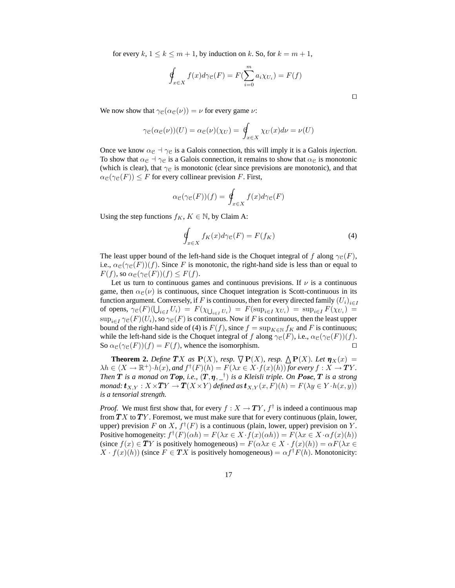for every  $k, 1 \leq k \leq m+1$ , by induction on k. So, for  $k = m+1$ ,

$$
\oint_{x \in X} f(x) d\gamma_{\mathcal{C}}(F) = F(\sum_{i=0}^{m} a_i \chi_{U_i}) = F(f)
$$

⊓⊔

We now show that  $\gamma_{\mathcal{C}}(\alpha_{\mathcal{C}}(\nu)) = \nu$  for every game  $\nu$ :

$$
\gamma_{\mathcal{C}}(\alpha_{\mathcal{C}}(\nu))(U) = \alpha_{\mathcal{C}}(\nu)(\chi_U) = \oint_{x \in X} \chi_U(x) d\nu = \nu(U)
$$

Once we know  $\alpha_{\mathcal{C}} \dashv \gamma_{\mathcal{C}}$  is a Galois connection, this will imply it is a Galois *injection*. To show that  $\alpha_{\mathcal{C}} \dashv \gamma_{\mathcal{C}}$  is a Galois connection, it remains to show that  $\alpha_{\mathcal{C}}$  is monotonic (which is clear), that  $\gamma_{\rm C}$  is monotonic (clear since previsions are monotonic), and that  $\alpha_{\mathcal{C}}(\gamma_{\mathcal{C}}(F)) \leq F$  for every collinear prevision F. First,

$$
\alpha_{\mathcal{C}}(\gamma_{\mathcal{C}}(F))(f) = \oint_{x \in X} f(x) d\gamma_{\mathcal{C}}(F)
$$

Using the step functions  $f_K$ ,  $K \in \mathbb{N}$ , by Claim A:

$$
\oint_{x \in X} f_K(x) d\gamma_{\mathcal{C}}(F) = F(f_K)
$$
\n(4)

The least upper bound of the left-hand side is the Choquet integral of f along  $\gamma_{\mathcal{C}}(F)$ , i.e.,  $\alpha_{\mathcal{C}}(\gamma_{\mathcal{C}}(F))(f)$ . Since F is monotonic, the right-hand side is less than or equal to  $F(f)$ , so  $\alpha_{\mathfrak{C}}(\gamma_{\mathfrak{C}}(F))(f) \leq F(f)$ .

Let us turn to continuous games and continuous previsions. If  $\nu$  is a continuous game, then  $\alpha_{\mathcal{C}}(\nu)$  is continuous, since Choquet integration is Scott-continuous in its function argument. Conversely, if  $F$  is continuous, then for every directed family  $\left(U_i\right)_{i\in I}$ of opens,  $\gamma_{\mathcal{C}}(F)(\bigcup_{i\in I} U_i) = F(\chi_{\bigcup_{i\in I} U_i}) = F(\sup_{i\in I} \chi_{U_i}) = \sup_{i\in I} F(\chi_{U_i}) =$  $\sup_{i\in I} \gamma_{\mathcal{C}}(F)(U_i)$ , so  $\gamma_{\mathcal{C}}(F)$  is continuous. Now if F is continuous, then the least upper bound of the right-hand side of (4) is  $F(f)$ , since  $f = \sup_{K \in \mathbb{N}} f_K$  and F is continuous; while the left-hand side is the Choquet integral of f along  $\gamma_{\mathcal{C}}(F)$ , i.e.,  $\alpha_{\mathcal{C}}(\gamma_{\mathcal{C}}(F))(f)$ . So  $\alpha_{\mathcal{C}}(\gamma_{\mathcal{C}}(F))(f) = F(f)$ , whence the isomorphism. □

**Theorem 2.** *Define*  $TX$  *as*  $P(X)$ *, resp.*  $\bigtriangledown P(X)$ *, resp.*  $\bigtriangleup P(X)$ *. Let*  $\eta_X(x) =$  $\lambda h \in \langle X \to \mathbb{R}^+ \rangle \cdot h(x)$ *, and*  $f^{\dagger}(F)(h) = F(\lambda x \in X \cdot f(x)(h))$  for every  $f : X \to TY$ *. Then*  $T$  *is a monad on*  $Top$ *, i.e.,*  $(T, \eta, \_^\dagger)$  *is a Kleisli triple. On*  $Posc$ ,  $T$  *is a strong monad:*  $\mathbf{t}_{X,Y} : X \times TY \to T(X \times Y)$  *defined as*  $\mathbf{t}_{X,Y}(x,F)(h) = F(\lambda y \in Y \cdot h(x,y))$ *is a tensorial strength.*

*Proof.* We must first show that, for every  $f : X \to TY$ ,  $f^{\dagger}$  is indeed a continuous map from  $TX$  to  $TY$ . Foremost, we must make sure that for every continuous (plain, lower, upper) prevision F on X,  $f^{\dagger}(F)$  is a continuous (plain, lower, upper) prevision on Y. Positive homogeneity:  $f^{\dagger}(F)(\alpha h) = F(\lambda x \in X \cdot f(x)(\alpha h)) = F(\lambda x \in X \cdot \alpha f(x)(h))$ (since  $f(x) \in TY$  is positively homogeneous) =  $F(\alpha \lambda x \in X \cdot f(x)(h)) = \alpha F(\lambda x \in Y \cdot f(x))$  $X \cdot f(x)(h)$  (since  $F \in TX$  is positively homogeneous) =  $\alpha f^{\dagger} F(h)$ . Monotonicity: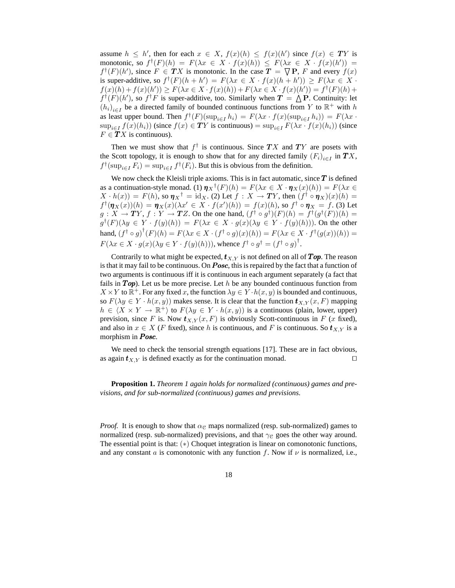assume  $h \leq h'$ , then for each  $x \in X$ ,  $f(x)(h) \leq f(x)(h')$  since  $f(x) \in TY$  is monotonic, so  $f^{\dagger}(F)(h) = F(\lambda x \in X \cdot f(x)(h)) \leq F(\lambda x \in X \cdot f(x)(h')) =$  $f^{\dagger}(F)(h')$ , since  $F \in TX$  is monotonic. In the case  $\overline{T} = \overline{\nabla} P$ , F and every  $f(x)$ is super-additive, so  $f^{\dagger}(F)(h + h') = F(\lambda x \in X \cdot f(x)(h + h')) \ge F(\lambda x \in X \cdot f(x))$  $f(x)(h) + f(x)(h')) \ge F(\lambda x \in X \cdot f(x)(h)) + F(\lambda x \in X \cdot f(x)(h')) = f^{\dagger}(F)(h) +$  $f^{\dagger}(F)(h')$ , so  $f^{\dagger}F$  is super-additive, too. Similarly when  $T = \Lambda P$ . Continuity: let  $(h_i)_{i\in I}$  be a directed family of bounded continuous functions from Y to  $\mathbb{R}^+$  with h as least upper bound. Then  $f^{\dagger}(F)(\sup_{i \in I} h_i) = F(\lambda x \cdot f(x)(\sup_{i \in I} h_i)) = F(\lambda x \cdot f(x))$  $\sup_{i\in I} f(x)(h_i)$ ) (since  $f(x) \in TY$  is continuous) =  $\sup_{i\in I} F(\lambda x \cdot f(x)(h_i))$  (since  $F \in TX$  is continuous).

Then we must show that  $f^{\dagger}$  is continuous. Since  $TX$  and  $TY$  are posets with the Scott topology, it is enough to show that for any directed family  $(F_i)_{i \in I}$  in  $TX$ ,  $f^{\dagger}(\sup_{i \in I} F_i) = \sup_{i \in I} f^{\dagger}(F_i)$ . But this is obvious from the definition.

We now check the Kleisli triple axioms. This is in fact automatic, since  $T$  is defined as a continuation-style monad. (1)  $\eta_X^{\dagger}(F)(h) = F(\lambda x \in X \cdot \eta_X(x)(h)) = F(\lambda x \in X \cdot \eta_X(x))$  $X \cdot h(x) = F(h)$ , so  $\eta_X^{\dagger} = id_X$ . (2) Let  $f : X \to TY$ , then  $(f^{\dagger} \circ \eta_X)(x)(h) =$  $f^{\dagger}(\pmb{\eta}_X(x))(h) = \pmb{\eta}_X(x)(\lambda x' \in X \cdot f(x')(h)) = f(x)(h)$ , so  $f^{\dagger} \circ \pmb{\eta}_X = f$ . (3) Let  $g: X \to TY$ ,  $f: Y \to TZ$ . On the one hand,  $(f^{\dagger} \circ g^{\dagger})(F)(h) = f^{\dagger}(g^{\dagger}(F))(h) =$  $g^{\dagger}(F)(\lambda y \in Y \cdot f(y)(h)) = F(\lambda x \in X \cdot g(x)(\lambda y \in Y \cdot f(y)(h)))$ . On the other hand,  $(f^{\dagger} \circ g)^{\dagger}(F)(h) = F(\lambda x \in X \cdot (f^{\dagger} \circ g)(x)(h)) = F(\lambda x \in X \cdot f^{\dagger}(g(x))(h)) =$  $F(\lambda x \in X \cdot g(x)(\lambda y \in Y \cdot f(y)(h))),$  whence  $f^{\dagger} \circ g^{\dagger} = (f^{\dagger} \circ g)^{\dagger}.$ 

Contrarily to what might be expected,  $t_{X,Y}$  is not defined on all of  $Top$ . The reason is that it may fail to be continuous. On **Pose**, this is repaired by the fact that a function of two arguments is continuous iff it is continuous in each argument separately (a fact that fails in  $Top$ ). Let us be more precise. Let h be any bounded continuous function from  $X \times Y$  to  $\mathbb{R}^+$ . For any fixed x, the function  $\lambda y \in Y \cdot h(x, y)$  is bounded and continuous, so  $F(\lambda y \in Y \cdot h(x, y))$  makes sense. It is clear that the function  $t_{X,Y}(x, F)$  mapping  $h \in \langle X \times Y \to \mathbb{R}^+ \rangle$  to  $F(\lambda y \in Y \cdot h(x, y))$  is a continuous (plain, lower, upper) prevision, since F is. Now  $t_{X,Y}(x, F)$  is obviously Scott-continuous in F (x fixed), and also in  $x \in X$  (F fixed), since h is continuous, and F is continuous. So  $t_{X,Y}$  is a morphism in **Posc.** 

We need to check the tensorial strength equations [17]. These are in fact obvious, as again  $t_{X,Y}$  is defined exactly as for the continuation monad. □

**Proposition 1.** *Theorem 1 again holds for normalized (continuous) games and previsions, and for sub-normalized (continuous) games and previsions.*

*Proof.* It is enough to show that  $\alpha_{\rm c}$  maps normalized (resp. sub-normalized) games to normalized (resp. sub-normalized) previsions, and that  $\gamma_{\rm C}$  goes the other way around. The essential point is that: (∗) Choquet integration is linear on comonotonic functions, and any constant a is comonotonic with any function f. Now if  $\nu$  is normalized, i.e.,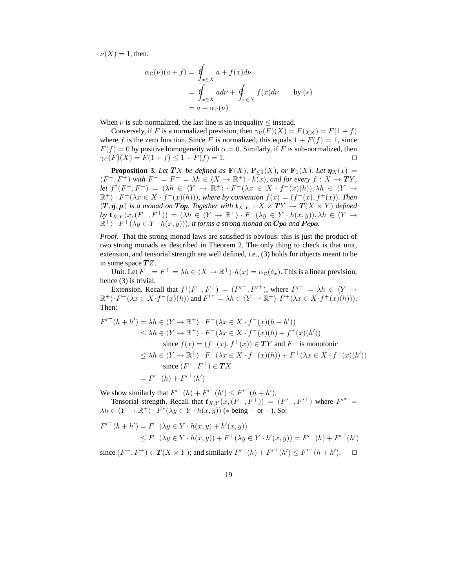$\nu(X) = 1$ , then:

$$
\alpha_{\mathcal{C}}(\nu)(a+f) = \oint_{x \in X} a + f(x) d\nu
$$
  
= 
$$
\oint_{x \in X} a d\nu + \oint_{x \in X} f(x) d\nu
$$
 by (\*)  
= 
$$
a + \alpha_{\mathcal{C}}(\nu)
$$

When  $\nu$  is sub-normalized, the last line is an inequality  $\leq$  instead.

Conversely, if F is a normalized prevision, then  $\gamma e(F)(X) = F(\chi_X) = F(1 + f)$ where f is the zero function. Since F is normalized, this equals  $1 + F(f) = 1$ , since  $F(f) = 0$  by positive homogeneity with  $\alpha = 0$ . Similarly, if F is sub-normalized, then  $\gamma_{\mathcal{C}}(F)(X) = F(1+f) \leq 1 + F(f) = 1.$ 

**Proposition 3.** Let TX be defined as  $\mathbf{F}(X)$ ,  $\mathbf{F}_{\leq 1}(X)$ , or  $\mathbf{F}_1(X)$ *. Let*  $\mathbf{\eta}_X(x) =$  $(F^-, F^+)$  with  $F^- = F^+ = \lambda h \in \langle X \to \mathbb{R}^+ \rangle \cdot h(x)$ , and for every  $f : X \to TY$ , *let*  $f^{\dagger}(F^-, F^+) = (\lambda h \in \langle Y \to \mathbb{R}^+ \rangle \cdot F^-(\lambda x \in X \cdot f^-(x)(h)), \lambda h \in \langle Y \to$  $\mathbb{R}^+$ ) ·  $F^+(\lambda x \in X \cdot f^+(x)(h))$ , where by convention  $f(x) = (f^-(x), f^+(x))$ . Then  $(T, \eta, \mu)$  *is a monad on* Top. Together with  $t_{X,Y} : X \times TY \rightarrow T(X \times Y)$  defined  $by \t**t**_{X,Y}(x, (F^-, F^+)) = (\lambda h \in \langle Y \to \mathbb{R}^+ \rangle \cdot F^-(\lambda y \in Y \cdot h(x, y)), \lambda h \in \langle Y \to$  $(\mathbb{R}^+) \cdot F^+(\lambda y \in Y \cdot h(x, y)))$ , it forms a strong monad on **Cpo** and **Pcpo**.

*Proof.* That the strong monad laws are satisfied is obvious: this is just the product of two strong monads as described in Theorem 2. The only thing to check is that unit, extension, and tensorial strength are well defined, i.e., (3) holds for objects meant to be in some space  $TZ$ .

Unit. Let  $F^- = F^+ = \lambda h \in \langle X \to \mathbb{R}^+ \rangle \cdot h(x) = \alpha_{\mathcal{C}}(\delta_x)$ . This is a linear prevision, hence (3) is trivial.

Extension. Recall that  $f^{\dagger}(F^-, F^+) = (F'^-, F'^+),$  where  $F'^- = \lambda h \in \langle Y \rangle$  $\mathbb{R}^+$ ) ·  $F^-(\lambda x \in X \cdot f^-(x)(h))$  and  $F'^{+} = \lambda h \in \langle Y \to \mathbb{R}^+ \rangle \cdot F^+(\lambda x \in X \cdot f^+(x)(h))$ . Then:

$$
F'^{+}(h + h') = \lambda h \in \langle Y \to \mathbb{R}^{+} \rangle \cdot F^{-}(\lambda x \in X \cdot f^{-}(x)(h + h'))
$$
  
\n
$$
\leq \lambda h \in \langle Y \to \mathbb{R}^{+} \rangle \cdot F^{-}(\lambda x \in X \cdot f^{-}(x)(h) + f^{+}(x)(h'))
$$
  
\nsince  $f(x) = (f^{-}(x), f^{+}(x)) \in TY$  and  $F^{-}$  is monotonic  
\n
$$
\leq \lambda h \in \langle Y \to \mathbb{R}^{+} \rangle \cdot F^{-}(\lambda x \in X \cdot f^{-}(x)(h)) + F^{+}(\lambda x \in X \cdot f^{+}(x)(h'))
$$
  
\nsince  $(F^{-}, F^{+}) \in TX$   
\n
$$
= F'^{-}(h) + F'^{+}(h')
$$

We show similarly that  $F^{(-)}(h) + F^{(+)}(h') \leq F^{(+)}(h + h').$ 

Tensorial strength. Recall that  $t_{X,Y}(x,(F^-,F^+)) = (F'^-,F'^+)$  where  $F'^* =$  $\lambda h \in \langle Y \to \mathbb{R}^+ \rangle \cdot F^*(\lambda y \in Y \cdot h(x, y))$  (\* being – or +). So:

$$
F'^{-}(h+h') = F^{-}(\lambda y \in Y \cdot h(x,y) + h'(x,y))
$$
  
\n
$$
\leq F^{-}(\lambda y \in Y \cdot h(x,y)) + F^{+}(\lambda y \in Y \cdot h'(x,y)) = F'^{-}(h) + F'^{+}(h')
$$

since  $(F^-, F^+) \in T(X \times Y)$ ; and similarly  $F'^{-}(h) + F'^{+}(h') \leq F'^{+}(h + h'')$  $\Box$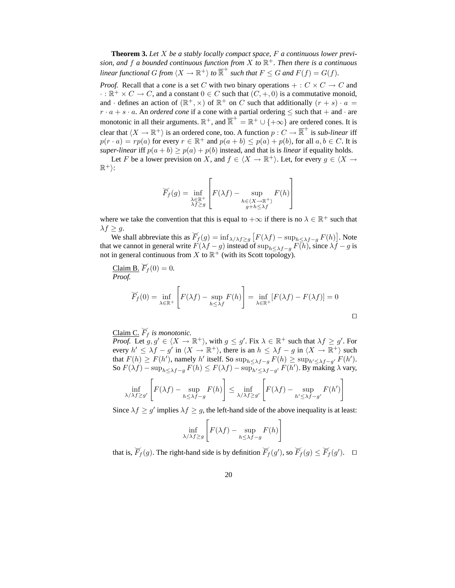**Theorem 3.** *Let* X *be a stably locally compact space,* F *a continuous lower prevision, and* f *a bounded continuous function from* X *to* R <sup>+</sup>*. Then there is a continuous linear functional*  $G$  *from*  $\langle X \to \mathbb{R}^+ \rangle$  *to*  $\overline{\mathbb{R}}^+$  *such that*  $F \leq G$  *and*  $F(f) = G(f)$ *.* 

*Proof.* Recall that a *cone* is a set C with two binary operations  $+ : C \times C \rightarrow C$  and  $\cdot : \mathbb{R}^+ \times C \to C$ , and a constant  $0 \in C$  such that  $(C, +, 0)$  is a commutative monoid, and  $\cdot$  defines an action of  $(\mathbb{R}^+, \times)$  of  $\mathbb{R}^+$  on C such that additionally  $(r + s) \cdot a =$  $r \cdot a + s \cdot a$ . An *ordered cone* if a cone with a partial ordering  $\leq$  such that  $+$  and  $\cdot$  are monotonic in all their arguments.  $\mathbb{R}^+$ , and  $\overline{\mathbb{R}}^+ = \mathbb{R}^+ \cup \{+\infty\}$  are ordered cones. It is clear that  $\langle X \to \mathbb{R}^+ \rangle$  is an ordered cone, too. A function  $p : C \to \overline{\mathbb{R}}^+$  is *sub-linear* iff  $p(r \cdot a) = rp(a)$  for every  $r \in \mathbb{R}^+$  and  $p(a + b) \leq p(a) + p(b)$ , for all  $a, b \in C$ . It is *super-linear* iff  $p(a + b) \ge p(a) + p(b)$  instead, and that is is *linear* if equality holds.

Let F be a lower prevision on X, and  $f \in \langle X \to \mathbb{R}^+ \rangle$ . Let, for every  $g \in \langle X \to \mathbb{R}^+ \rangle$  $\mathbb{R}^+$ :

$$
\widetilde{F}_f(g) = \inf_{\substack{\lambda \in \mathbb{R}^+ \\ \lambda f \ge g}} \left[ F(\lambda f) - \sup_{\substack{h \in \langle X \to \mathbb{R}^+ \rangle \\ g + h \le \lambda f}} F(h) \right]
$$

where we take the convention that this is equal to  $+\infty$  if there is no  $\lambda \in \mathbb{R}^+$  such that  $\lambda f \geq g$ .

 $\overset{\sim}{\text{E}}$  s.<br>We shall abbreviate this as  $\overline{F}_f(g) = \inf_{\lambda/\lambda} f \geq g \left[ F(\lambda f) - \sup_{h \leq \lambda} f - g F(h) \right]$ . Note that we cannot in general write  $F(\lambda f - g)$  instead of  $\sup_{h \leq \lambda f - g} F(h)$ , since  $\lambda f - g$  is not in general continuous from X to  $\mathbb{R}^+$  (with its Scott topology).

Claim B.  $\widetilde{F}_f(0) = 0$ . *Proof.*  $\sqrt{ }$ 

$$
\widetilde{F}_f(0) = \inf_{\lambda \in \mathbb{R}^+} \left[ F(\lambda f) - \sup_{h \le \lambda f} F(h) \right] = \inf_{\lambda \in \mathbb{R}^+} \left[ F(\lambda f) - F(\lambda f) \right] = 0
$$

Claim C.  $\widetilde{F}_f$  *is monotonic.* 

*Proof.* Let  $g, g' \in \langle X \to \mathbb{R}^+ \rangle$ , with  $g \leq g'$ . Fix  $\lambda \in \mathbb{R}^+$  such that  $\lambda f \geq g'$ . For every  $h' \leq \lambda f - g'$  in  $\langle X \to \mathbb{R}^+ \rangle$ , there is an  $h \leq \lambda f - g$  in  $\langle X \to \mathbb{R}^+ \rangle$  such that  $F(h) \ge F(h')$ , namely h' itself. So  $\sup_{h \le \lambda f - g} F(h) \ge \sup_{h' \le \lambda f - g'} F(h')$ . So  $F(\lambda f) - \sup_{h \leq \lambda f - g} F(h) \leq F(\lambda f) - \sup_{h' \leq \lambda f - g'} F(h')$ . By making  $\lambda$  vary,

$$
\inf_{\lambda/\lambda f \ge g'} \left[ F(\lambda f) - \sup_{h \le \lambda f - g} F(h) \right] \le \inf_{\lambda/\lambda f \ge g'} \left[ F(\lambda f) - \sup_{h' \le \lambda f - g'} F(h') \right]
$$

Since  $\lambda f \ge g'$  implies  $\lambda f \ge g$ , the left-hand side of the above inequality is at least:

$$
\inf_{\lambda/\lambda f \ge g} \left[ F(\lambda f) - \sup_{h \le \lambda f - g} F(h) \right]
$$

that is,  $\overline{F}_f(g)$ . The right-hand side is by definition  $\overline{F}_f(g')$ , so  $\overline{F}_f(g) \le \overline{F}_f(g')$ .  $\Box$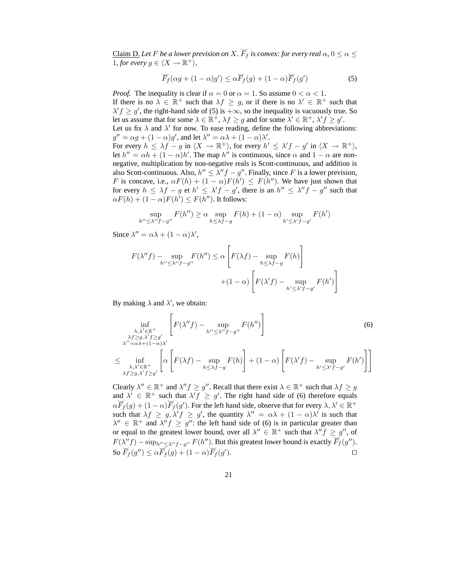Claim D. Let F be a lower prevision on X.  $\widecheck{F}_f$  is convex: for every real  $\alpha, 0 \leq \alpha \leq 1$ 1, for every  $g \in \langle X \to \mathbb{R}^+ \rangle$ ,

$$
\widetilde{F}_f(\alpha g + (1 - \alpha)g') \leq \alpha \widetilde{F}_f(g) + (1 - \alpha) \widetilde{F}_f(g')
$$
\n(5)

*Proof.* The inequality is clear if  $\alpha = 0$  or  $\alpha = 1$ . So assume  $0 < \alpha < 1$ . If there is no  $\lambda \in \mathbb{R}^+$  such that  $\lambda f \geq g$ , or if there is no  $\lambda' \in \mathbb{R}^+$  such that  $\lambda' f \ge g'$ , the right-hand side of (5) is  $+\infty$ , so the inequality is vacuously true. So let us assume that for some  $\lambda \in \mathbb{R}^+$ ,  $\lambda f \ge g$  and for some  $\lambda' \in \mathbb{R}^+$ ,  $\lambda' f \ge g'$ . Let us fix  $\lambda$  and  $\lambda'$  for now. To ease reading, define the following abbreviations:  $g'' = \alpha g + (1 - \alpha)g'$ , and let  $\lambda'' = \alpha \lambda + (1 - \alpha)\lambda'$ . For every  $h \leq \lambda f - g$  in  $\langle X \to \mathbb{R}^+ \rangle$ , for every  $h' \leq \lambda' f - g'$  in  $\langle X \to \mathbb{R}^+ \rangle$ , let  $h'' = \alpha h + (1 - \alpha)h'$ . The map  $h''$  is continuous, since  $\alpha$  and  $1 - \alpha$  are nonnegative, multiplication by non-negative reals is Scott-continuous, and addition is also Scott-continuous. Also,  $h'' \leq \lambda''f - g''$ . Finally, since F is a lower prevision, F is concave, i.e.,  $\alpha F(h) + (1 - \alpha)F(h') \leq F(h'')$ . We have just shown that for every  $h \leq \lambda f - g$  et  $h' \leq \lambda' f - g'$ , there is an  $h'' \leq \lambda'' f - g''$  such that

$$
\sup_{h'' \leq \lambda''f - g''} F(h'') \geq \alpha \sup_{h \leq \lambda f - g} F(h) + (1 - \alpha) \sup_{h' \leq \lambda'f - g'} F(h')
$$

Since  $\lambda'' = \alpha \lambda + (1 - \alpha) \lambda'$ ,

 $\alpha F(h) + (1 - \alpha) F(h') \leq F(h'')$ . It follows:

$$
F(\lambda''f) - \sup_{h'' \le \lambda''f - g''} F(h'') \le \alpha \left[ F(\lambda f) - \sup_{h \le \lambda f - g} F(h) \right]
$$

$$
+ (1 - \alpha) \left[ F(\lambda'f) - \sup_{h' \le \lambda'f - g'} F(h') \right]
$$

By making  $\lambda$  and  $\lambda'$ , we obtain:

$$
\inf_{\substack{\lambda,\lambda' \in \mathbb{R}^+\\ \lambda f \ge g, \lambda' f \ge g'}} \left[ F(\lambda''f) - \sup_{h'' \le \lambda''f - g''} F(h'') \right]
$$
\n
$$
\le \inf_{\substack{\lambda,\lambda' \in \mathbb{R}^+\\ \lambda, f \ge g, \lambda' f \ge g'}} \left[ \alpha \left[ F(\lambda f) - \sup_{h \le \lambda f - g} F(h) \right] + (1 - \alpha) \left[ F(\lambda' f) - \sup_{h' \le \lambda' f - g'} F(h') \right] \right]
$$
\n
$$
\le \inf_{\substack{\lambda,\lambda' \in \mathbb{R}^+\\ \lambda f \ge g, \lambda' f \ge g'}} \left[ \alpha \left[ F(\lambda f) - \sup_{h \le \lambda f - g} F(h) \right] + (1 - \alpha) \left[ F(\lambda' f) - \sup_{h' \le \lambda' f - g'} F(h') \right] \right]
$$
\n(6)

1

Clearly  $\lambda'' \in \mathbb{R}^+$  and  $\lambda'' f \ge g''$ . Recall that there exist  $\lambda \in \mathbb{R}^+$  such that  $\lambda f \ge g$ and  $\lambda' \in \mathbb{R}^+$  such that  $\lambda' f \geq g'$ . The right hand side of (6) therefore equals  $\alpha F_f(g) + (1 - \alpha) F_f(g')$ . For the left hand side, observe that for every  $\lambda, \lambda' \in \mathbb{R}^+$ such that  $\lambda f \geq g, \lambda' f \geq g'$ , the quantity  $\lambda'' = \alpha \lambda + (1 - \alpha) \lambda'$  is such that  $\lambda'' \in \mathbb{R}^+$  and  $\lambda'' f \geq g''$ : the left hand side of (6) is in particular greater than or equal to the greatest lower bound, over all  $\lambda'' \in \mathbb{R}^+$  such that  $\lambda''f \geq g''$ , of  $F(\lambda''f) - \sup_{h'' \leq \lambda''f - g''} F(h'')$ . But this greatest lower bound is exactly  $F_f(g'')$ . So  $\overline{F}_f(g'') \leq \alpha \overline{F}_f(g) + (1-\alpha) \overline{F}_f(g')$ ). ⊓⊔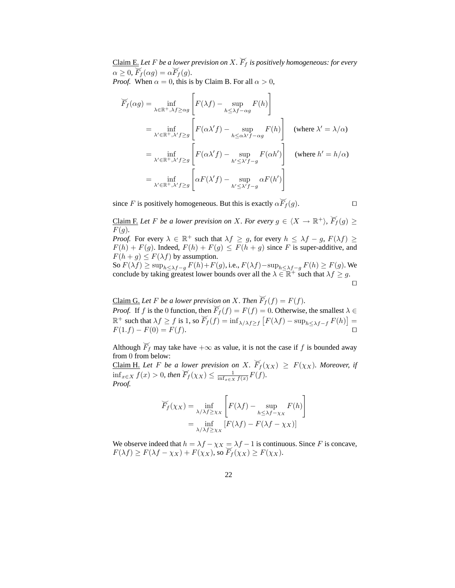Claim E. Let F be a lower prevision on X.  $\overline{F}_f$  is positively homogeneous: for every  $\alpha \geq 0$ ,  $\overline{F}_f(\alpha g) = \alpha \overline{F}_f(g)$ .

*Proof.* When  $\alpha = 0$ , this is by Claim B. For all  $\alpha > 0$ ,

$$
\overline{F}_f(\alpha g) = \inf_{\lambda \in \mathbb{R}^+, \lambda f \ge \alpha g} \left[ F(\lambda f) - \sup_{h \le \lambda f - \alpha g} F(h) \right]
$$
\n
$$
= \inf_{\lambda' \in \mathbb{R}^+, \lambda' f \ge g} \left[ F(\alpha \lambda' f) - \sup_{h \le \alpha \lambda' f - \alpha g} F(h) \right] \quad \text{(where } \lambda' = \lambda/\alpha\text{)}
$$
\n
$$
= \inf_{\lambda' \in \mathbb{R}^+, \lambda' f \ge g} \left[ F(\alpha \lambda' f) - \sup_{h' \le \lambda' f - g} F(\alpha h') \right] \quad \text{(where } h' = h/\alpha\text{)}
$$
\n
$$
= \inf_{\lambda' \in \mathbb{R}^+, \lambda' f \ge g} \left[ \alpha F(\lambda' f) - \sup_{h' \le \lambda' f - g} \alpha F(h') \right]
$$

since F is positively homogeneous. But this is exactly  $\alpha \overline{F}_f(g)$ .

Claim F. Let F be a lower prevision on X. For every  $g \in \langle X \to \mathbb{R}^+ \rangle$ ,  $\overline{F}_f(g) \geq$  $F(q)$ .

*Proof.* For every  $\lambda \in \mathbb{R}^+$  such that  $\lambda f \geq g$ , for every  $h \leq \lambda f - g$ ,  $F(\lambda f) \geq$  $F(h) + F(g)$ . Indeed,  $F(h) + F(g) \leq F(h + g)$  since F is super-additive, and  $F(h + g) \leq F(\lambda f)$  by assumption.

So  $F(\lambda f) \ge \sup_{h \le \lambda f - g} F(h) + F(g)$ , i.e.,  $F(\lambda f) - \sup_{h \le \lambda f - g} F(h) \ge F(g)$ . We conclude by taking greatest lower bounds over all the  $\lambda \in \mathbb{R}^+$  such that  $\lambda f \geq g$ . ⊓⊔

<u>Claim G.</u> Let *F* be a lower prevision on *X*. Then  $\overline{F}_f(f) = F(f)$ . *Proof.* If f is the 0 function, then  $\widetilde{F}_f(f) = F(f) = 0$ . Otherwise, the smallest  $\lambda \in$  $\mathbb{R}^+$  such that  $\lambda f \ge f$  is 1, so  $\overline{F}_f(f) = \inf_{\lambda/\lambda} f \ge f$   $[F(\lambda f) - \sup_{h \le \lambda} f - f(h)] =$  $F(1.f) - F(0) = F(f).$ 

Although  $\widetilde{F}_f$  may take have  $+\infty$  as value, it is not the case if f is bounded away from 0 from below:

 $\frac{\text{Claim H.}}{\text{Claim H.}}$  *Let F be a lower prevision on X*.  $\overline{F}_f(\chi_X) \geq F(\chi_X)$ *. Moreover, if* <u>inf<sub>x∈X</sub></u>  $f(x) > 0$ *, then*  $\overline{F}_f(x_X) \leq \frac{1}{\inf_{x \in X} f(x)} F(f)$ . *Proof.*

$$
\widetilde{F}_f(\chi_X) = \inf_{\lambda/\lambda f \ge \chi_X} \left[ F(\lambda f) - \sup_{h \le \lambda f - \chi_X} F(h) \right]
$$

$$
= \inf_{\lambda/\lambda f \ge \chi_X} \left[ F(\lambda f) - F(\lambda f - \chi_X) \right]
$$

We observe indeed that  $h = \lambda f - \chi_X = \lambda f - 1$  is continuous. Since F is concave,  $F(\lambda f) \geq F(\lambda f - \chi_X) + F(\chi_X)$ , so  $F_f(\chi_X) \geq F(\chi_X)$ .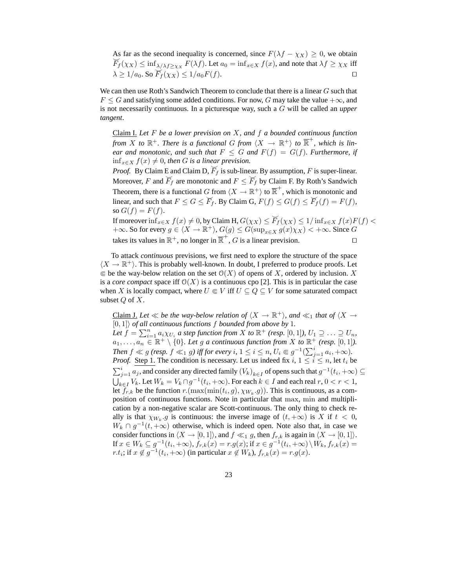As far as the second inequality is concerned, since  $F(\lambda f - \chi_X) \ge 0$ , we obtain  $\widetilde{F}_f(\chi_X) \le \inf_{\lambda/\lambda} f \ge \chi_X F(\lambda f)$ . Let  $a_0 = \inf_{x \in X} f(x)$ , and note that  $\lambda f \ge \chi_X$  iff  $\lambda \geq 1/a_0$ . So  $\widetilde{F}_f(\chi_X) \leq 1/a_0 F(f)$ . □

We can then use Roth's Sandwich Theorem to conclude that there is a linear  $G$  such that  $F \leq G$  and satisfying some added conditions. For now, G may take the value  $+\infty$ , and is not necessarily continuous. In a picturesque way, such a G will be called an *upper tangent*.

Claim I. *Let* F *be a lower prevision on* X*, and* f *a bounded continuous function from*  $X$  to  $\mathbb{R}^+$ . There is a functional G from  $\langle X \rangle \to \mathbb{R}^+$  to  $\overline{\mathbb{R}}^+$ , which is lin*ear and monotonic, and such that*  $F \leq G$  *and*  $F(f) = G(f)$ *. Furthermore, if*  $\inf_{x \in X} f(x) ≠ 0$ , then *G* is a linear prevision.

*Proof.* By Claim E and Claim D,  $\widetilde{F}_f$  is sub-linear. By assumption, F is super-linear. Moreover, F and  $F_f$  are monotonic and  $F \leq F_f$  by Claim F. By Roth's Sandwich Theorem, there is a functional G from  $\langle X \to \mathbb{R}^+ \rangle$  to  $\overline{\mathbb{R}}^+$ , which is monotonic and linear, and such that  $F \le G \le \overline{F}_f$ . By Claim G,  $F(f) \le G(f) \le \overline{F}_f(f) = F(f)$ , so  $G(f) = F(f)$ .

If moreover  $\inf_{x \in X} f(x) \neq 0$ , by Claim H,  $G(\chi_X) \leq \overline{F}_f(\chi_X) \leq 1/\inf_{x \in X} f(x)F(f)$  $+\infty$ . So for every  $g \in \langle X \to \mathbb{R}^+ \rangle$ ,  $G(g) \leq G(\sup_{x \in X} g(x)\chi_X) < +\infty$ . Since  $G$ takes its values in  $\mathbb{R}^+$ , no longer in  $\overline{\mathbb{R}}^+$ , G is a linear prevision.  $\Box$ 

To attack *continuous* previsions, we first need to explore the structure of the space  $\langle X \rightarrow \mathbb{R}^+ \rangle$ . This is probably well-known. In doubt, I preferred to produce proofs. Let  $\in$  be the way-below relation on the set  $\mathcal{O}(X)$  of opens of X, ordered by inclusion. X is a *core compact* space iff  $O(X)$  is a continuous cpo [2]. This is in particular the case when X is locally compact, where  $U \in V$  iff  $U \subseteq Q \subseteq V$  for some saturated compact subset  $Q$  of  $X$ .

<u>Claim J.</u> Let  $\ll$  be the way-below relation of  $\langle X \to \mathbb{R}^+ \rangle$ , and  $\ll_1$  that of  $\langle X \to \mathbb{R}^+ \rangle$  $[0, 1]$  *of all continuous functions f bounded from above by* 1. Let  $f = \sum_{i=1}^n a_i \chi_{U_i}$  a step function from  $X$  to  $\mathbb{R}^+$  (resp.  $[0,1]$ ),  $U_1 \supseteq \ldots \supseteq U_n$ ,  $a_1, \ldots, a_n \in \mathbb{R}^+ \setminus \{0\}$ . Let g a continuous function from X to  $\mathbb{R}^+$  (resp. [0, 1]). *Then*  $f \ll g$  (resp.  $f \ll_1 g$ ) iff for every i,  $1 \leq i \leq n$ ,  $U_i \in g^{-1}(\sum_{j=1}^i a_i, +\infty)$ . *Proof.* Step 1. The condition is necessary. Let us indeed fix  $i, 1 \le i \le n$ , let  $t_i$  be  $\sum_{j=1}^i a_j$ , and consider any directed family  $(V_k)_{k\in I}$  of opens such that  $g^{-1}(t_i, +\infty) \subseteq$  $\bigcup_{k\in I}V_k$ . Let  $W_k=V_k\cap g^{-1}(t_i,+\infty)$ . For each  $k\in I$  and each real  $r, 0 < r < 1$ , let  $f_{r,k}$  be the function  $r \cdot (\max(\min(t_i, g), \chi_{W_k}.g))$ . This is continuous, as a composition of continuous functions. Note in particular that max, min and multiplication by a non-negative scalar are Scott-continuous. The only thing to check really is that  $\chi_{W_k}$  *g* is continuous: the inverse image of  $(t, +\infty)$  is X if  $t < 0$ ,  $W_k \cap g^{-1}(t, +\infty)$  otherwise, which is indeed open. Note also that, in case we consider functions in  $\langle X \rightarrow [0, 1] \rangle$ , and  $f \ll_1 g$ , then  $f_{r,k}$  is again in  $\langle X \rightarrow [0, 1] \rangle$ . If  $x \in W_k \subseteq g^{-1}(t_i, +\infty)$ ,  $f_{r,k}(x) = r.g(x)$ ; if  $x \in g^{-1}(t_i, +\infty) \setminus W_k$ ,  $f_{r,k}(x) =$  $r.t_i$ ; if  $x \notin g^{-1}(t_i, +\infty)$  (in particular  $x \notin W_k$ ),  $f_{r,k}(x) = r.g(x)$ .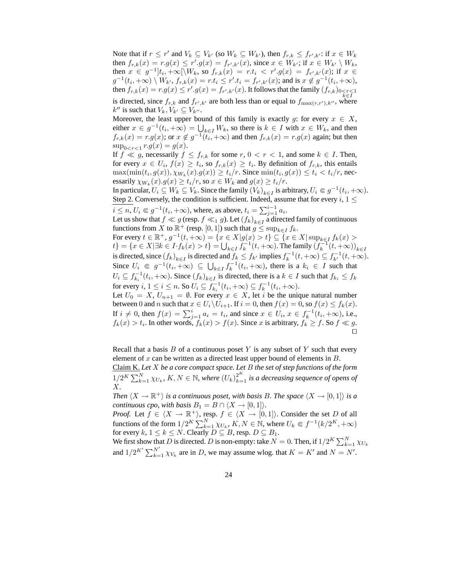Note that if  $r \le r'$  and  $V_k \subseteq V_{k'}$  (so  $W_k \subseteq W_{k'}$ ), then  $f_{r,k} \le f_{r',k'}$ : if  $x \in W_k$ then  $f_{r,k}(x) = r.g(x) \le r'.g(x) = f_{r',k'}(x)$ , since  $x \in W_{k'}$ ; if  $x \in W_{k'} \setminus W_k$ , then  $x \in g^{-1}]t_i, +\infty[\setminus W_k$ , so  $f_{r,k}(x) = r.t_i \langle r', g(x) \rangle = f_{r',k'}(x)$ ; if  $x \in$  $g^{-1}(t_i, +\infty) \setminus W_{k'}, f_{r,k}(x) = r.t_i \leq r'.t_i = f_{r',k'}(x);$  and is  $x \notin g^{-1}(t_i, +\infty)$ , then  $f_{r,k}(x) = r.g(x) \le r'.g(x) = f_{r',k'}(x)$ . It follows that the family  $(f_{r,k})_{\substack{0 \le r \le 1 \\ k \in I}}$ is directed, since  $f_{r,k}$  and  $f_{r',k'}$  are both less than or equal to  $f_{\max(r,r'),k''}$ , where  $k''$  is such that  $V_k, V_{k'} \subseteq V_{k''}.$ 

Moreover, the least upper bound of this family is exactly g: for every  $x \in X$ , either  $x \in g^{-1}(t_i, +\infty) = \bigcup_{k \in I} W_k$ , so there is  $k \in I$  with  $x \in W_k$ , and then  $f_{r,k}(x) = r.g(x)$ ; or  $x \notin g^{-1}(t_i, +\infty)$  and then  $f_{r,k}(x) = r.g(x)$  again; but then  $\sup_{0 < r < 1} r.g(x) = g(x).$ 

If  $f \ll g$ , necessarily  $f \leq f_{r,k}$  for some  $r, 0 < r < 1$ , and some  $k \in I$ . Then, for every  $x \in U_i$ ,  $f(x) \ge t_i$ , so  $f_{r,k}(x) \ge t_i$ . By definition of  $f_{r,k}$ , this entails  $\max(\min(t_i, g(x)), \chi_{W_k}(x).g(x)) \ge t_i/r$ . Since  $\min(t_i, g(x)) \le t_i < t_i/r$ , necessarily  $\chi_{W_k}(x) . g(x) \ge t_i/r$ , so  $x \in W_k$  and  $g(x) \ge t_i/r$ .

In particular,  $U_i \subseteq W_k \subseteq V_k$ . Since the family  $(V_k)_{k \in I}$  is arbitrary,  $U_i \in g^{-1}(t_i, +\infty)$ . Step 2. Conversely, the condition is sufficient. Indeed, assume that for every  $i, 1 \leq$ 

$$
i \leq n
$$
,  $U_i \in g^{-1}(t_i, +\infty)$ , where, as above,  $t_i = \sum_{j=1}^{i-1} a_i$ .

Let us show that  $f \ll g$  (resp.  $f \ll_1 g$ ). Let  $(f_k)_{k \in I}$  a directed family of continuous functions from X to  $\mathbb{R}^+$  (resp. [0, 1]) such that  $g \leq \sup_{k \in I} f_k$ .

For every  $t \in \mathbb{R}^+, g^{-1}(t, +\infty) = \{x \in X | g(x) > t\} \subseteq \{x \in X | \sup_{k \in I} f_k(x) > t\}$  $\{t\} = \{x \in X | \exists k \in I \cdot f_k(x) > t\} = \bigcup_{k \in I} f_k^{-1}(t, +\infty)$ . The family  $(f_k^{-1}(t, +\infty))_{k \in I}$ is directed, since  $(f_k)_{k\in I}$  is directed and  $f_k \leq f_{k'}$  implies  $f_k^{-1}(t, +\infty) \subseteq f_{k'}^{-1}(t, +\infty)$ . Since  $U_i \n\in g^{-1}(t_i, +\infty) \subseteq \bigcup_{k \in I} f_k^{-1}(t_i, +\infty)$ , there is a  $k_i \in I$  such that  $U_i \subseteq f_{k_i}^{-1}(t_i, +\infty)$ . Since  $(f_k)_{k \in I}$  is directed, there is a  $k \in I$  such that  $f_{k_i} \le f_k$ for every  $i, 1 \le i \le n$ . So  $U_i \subseteq f_{k_i}^{-1}(t_i, +\infty) \subseteq f_k^{-1}(t_i, +\infty)$ .

Let  $U_0 = X$ ,  $U_{n+1} = \emptyset$ . For every  $x \in X$ , let i be the unique natural number between 0 and n such that  $x \in U_i \backslash U_{i+1}$ . If  $i = 0$ , then  $f(x) = 0$ , so  $f(x) \le f_k(x)$ . If  $i \neq 0$ , then  $f(x) = \sum_{j=1}^{i} a_i = t_i$ , and since  $x \in U_i$ ,  $x \in f_k^{-1}(t_i, +\infty)$ , i.e.,  $f_k(x) > t_i$ . In other words,  $f_k(x) > f(x)$ . Since x is arbitrary,  $f_k \ge f$ . So  $f \ll g$ . ⊓⊔

Recall that a basis  $B$  of a continuous poset  $Y$  is any subset of  $Y$  such that every element of  $x$  can be written as a directed least upper bound of elements in  $B$ .

Claim K. *Let* X *be a core compact space. Let* B *the set of step functions of the form*  $1/2^K\sum_{k=1}^N \chi_{U_k}$ ,  $K,N\in\mathbb{N}$ , where  $(U_k)_{k=1}^{2^K}$  is a decreasing sequence of opens of X*.*

*Then*  $\langle X \to \mathbb{R}^+ \rangle$  *is a continuous poset, with basis B. The space*  $\langle X \to [0,1] \rangle$  *is a continuous cpo, with basis*  $B_1 = B \cap \langle X \rightarrow [0, 1] \rangle$ *.* 

*Proof.* Let  $f \in \langle X \to \mathbb{R}^+ \rangle$ , resp.  $f \in \langle X \to [0, 1] \rangle$ . Consider the set D of all functions of the form  $1/2^K \sum_{k=1}^N \chi_{U_k}$ ,  $K, N \in \mathbb{N}$ , where  $U_k \Subset f^{-1}(k/2^K, +\infty)$ for every  $k, 1 \leq k \leq N$ . Clearly  $D \subseteq B$ , resp.  $D \subseteq B_1$ .

We first show that D is directed. D is non-empty: take  $N = 0$ . Then, if  $1/2^K \sum_{k=1}^N \chi_{U_k}$ and  $1/2^{K'}\sum_{k=1}^{N'} \chi_{V_k}$  are in D, we may assume wlog. that  $K = K'$  and  $N = N'$ .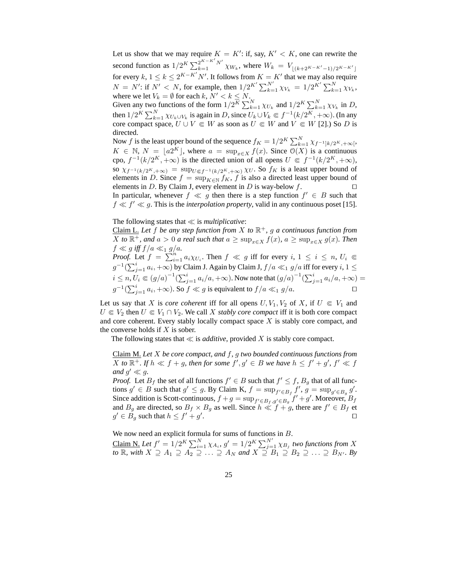Let us show that we may require  $K = K'$ : if, say,  $K' < K$ , one can rewrite the second function as  $1/2^K \sum_{k=1}^{2^{K-K'}} N' \chi_{W_k}$ , where  $W_k = V_{\lfloor (k+2^{K-K'}-1)/2^{K-K'} \rfloor}$ for every  $k, 1 \le k \le 2^{K-K'}N'$ . It follows from  $K = K'$  that we may also require  $N = N'$ : if  $N' < N$ , for example, then  $1/2^{K'} \sum_{k=1}^{N'} \chi_{V_k} = 1/2^{K'} \sum_{k=1}^{N} \chi_{V_k}$ , where we let  $V_k = \emptyset$  for each  $k, N' < k \leq N$ . Given any two functions of the form  $1/2^{\overline{K}} \sum_{k=1}^{N} \chi_{U_k}$  and  $1/2^{K} \sum_{k=1}^{N} \chi_{V_k}$  in D, then  $1/2^K \sum_{k=1}^N \chi_{U_k \cup V_k}$  is again in D, since  $U_k \cup V_k \in f^{-1}(k/2^K, +\infty)$ . (In any core compact space,  $U \cup V \in W$  as soon as  $U \in W$  and  $V \in W$  [2].) So D is directed. Now f is the least upper bound of the sequence  $f_K = 1/2^K \sum_{k=1}^N \chi_{f^{-1}|k/2^K, +\infty}$ 

 $K \in \mathbb{N}, N = \lfloor a2^K \rfloor$ , where  $a = \sup_{x \in X} f(x)$ . Since  $\mathcal{O}(X)$  is a continuous cpo,  $f^{-1}(k/2^K, +\infty)$  is the directed union of all opens  $U \in f^{-1}(k/2^K, +\infty)$ , so  $\chi_{f^{-1}(k/2^K,+\infty)} = \sup_{U \in f^{-1}(k/2^K,+\infty)} \chi_U$ . So  $f_K$  is a least upper bound of elements in D. Since  $f = \sup_{K \in \mathbb{N}} f_K$ , f is also a directed least upper bound of elements in D. By Claim I every element in D is way-below  $f \square$ elements in D. By Claim J, every element in D is way-below  $f$ . In particular, whenever  $f \ll g$  then there is a step function  $f' \in B$  such that  $f \ll f' \ll g$ . This is the *interpolation property*, valid in any continuous poset [15].

The following states that ≪ is *multiplicative*:

Claim L. *Let* f *be any step function from* X *to* R <sup>+</sup>*,* g *a continuous function from* X *to*  $\mathbb{R}^+$ *, and*  $a > 0$  *a real such that*  $a \ge \sup_{x \in X} f(x)$ *,*  $a \ge \sup_{x \in X} g(x)$ *. Then*  $f \ll g$  *iff*  $f/a \ll_1 g/a$ . *Proof.* Let  $f = \sum_{i=1}^{n} a_i \chi_{U_i}$ . Then  $f \ll g$  iff for every  $i, 1 \le i \le n, U_i \in$  $g^{-1}(\sum_{j=1}^ia_i,+\infty)$  by Claim J. Again by Claim J,  $f/a\ll_1 g/a$  iff for every  $i,1\leq$  $i \leq n, U_i \in (g/a)^{-1}(\sum_{j=1}^i a_i/a, +\infty)$ . Now note that  $(g/a)^{-1}(\sum_{j=1}^i a_i/a, +\infty) =$ 

 $g^{-1}(\sum_{j=1}^i a_i, +\infty)$ . So  $f \ll g$  is equivalent to  $f/a \ll_1 g/a$ . □

Let us say that X is *core coherent* iff for all opens  $U, V_1, V_2$  of X, if  $U \in V_1$  and  $U \in V_2$  then  $U \in V_1 \cap V_2$ . We call X *stably core compact* iff it is both core compact and core coherent. Every stably locally compact space  $X$  is stably core compact, and the converse holds if  $X$  is sober.

The following states that  $\ll$  is *additive*, provided X is stably core compact.

Claim M. *Let* X *be core compact, and* f*,* g *two bounded continuous functions from* X to  $\mathbb{R}^+$ . If  $h \ll f + g$ , then for some  $f', g' \in B$  we have  $h \leq f' + g'$ ,  $f' \ll f$ and  $g' \ll g$ .

*Proof.* Let  $B_f$  the set of all functions  $f' \in B$  such that  $f' \leq f$ ,  $B_g$  that of all functions  $g' \in B$  such that  $g' \le g$ . By Claim K,  $f = \sup_{f' \in B_f} f', g = \sup_{g' \in B_g} g'$ . Since addition is Scott-continuous,  $f + g = \sup_{f' \in B_f, g' \in B_g} f' + g'$ . Moreover,  $B_f$ and  $B_g$  are directed, so  $B_f \times B_g$  as well. Since  $h \ll f + g$ , there are  $f' \in B_f$  et  $g' \in B_g$  such that  $h \leq f' + g'$ . ⊓⊔

We now need an explicit formula for sums of functions in B.

Claim N. Let  $f' = 1/2^K \sum_{i=1}^N \chi_{A_i}$ ,  $g' = 1/2^K \sum_{j=1}^{N'} \chi_{B_j}$  two functions from X *to* R*, with*  $X \supseteq A_1 \supseteq A_2 \supseteqeq \ldots \supseteq A_N$  and  $X \supseteqeq B_1 \supseteq B_2 \supseteqeq \ldots \supseteq B_{N'}$ *. By*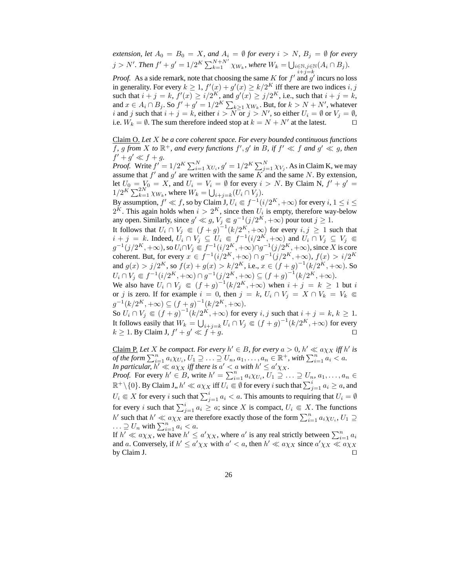*extension, let*  $A_0 = B_0 = X$ *, and*  $A_i = \emptyset$  *for every*  $i > N$ *,*  $B_j = \emptyset$  *for every*  $j > N'$ . Then  $f' + g' = 1/2^K \sum_{k=1}^{N+N'} \chi_{W_k}$ , where  $W_k = \bigcup_{\substack{i \in \mathbb{N}, j \in \mathbb{N} \ i + j = k}} (A_i \cap B_j)$ .

*Proof.* As a side remark, note that choosing the same  $K$  for  $f'$  and  $g'$  incurs no loss in generality. For every  $k \geq 1$ ,  $f'(x) + g'(x) \geq k/2<sup>K</sup>$  iff there are two indices  $i, j$ such that  $i + j = k$ ,  $f'(x) \ge i/2<sup>K</sup>$ , and  $g'(x) \ge j/2<sup>K</sup>$ , i.e., such that  $i + j = k$ , and  $x \in A_i \cap B_j$ . So  $f' + g' = 1/2^K \sum_{k \geq 1} \chi_{W_k}$ . But, for  $k > N + N'$ , whatever i and j such that  $i + j = k$ , either  $i > N$  or  $j > N'$ , so either  $U_i = \emptyset$  or  $V_j = \emptyset$ , i.e.  $W_k = \emptyset$ . The sum therefore indeed stop at  $k = N + N'$  at the latest. □

Claim O. *Let* X *be a core coherent space. For every bounded continuous functions* f, g from X to  $\mathbb{R}^+$ , and every functions  $f', g'$  in B, if  $f' \ll f$  and  $g' \ll g$ , then  $f' + g' \ll f + g$ .

*Proof.* Write  $f' = 1/2^K \sum_{i=1}^N \chi_{U_i}$ ,  $g' = 1/2^K \sum_{j=1}^N \chi_{V_j}$ . As in Claim K, we may assume that  $f'$  and  $g'$  are written with the same K and the same N. By extension, let  $U_0 = V_0 = X$ , and  $U_i = V_i = \emptyset$  for every  $i > N$ . By Claim N,  $f' + g' =$  $1/2^K \sum_{k=1}^{2N} \chi_{W_k}$ , where  $W_k = \bigcup_{i+j=k} (U_i \cap V_j)$ .

By assumption,  $f' \ll f$ , so by Claim  $\mathrm{J},$   $U_i \Subset f^{-1}(i/2^K,+\infty)$  for every  $i,$   $1 \leq i \leq$  $2^K$ . This again holds when  $i > 2^K$ , since then  $U_i$  is empty, therefore way-below any open. Similarly, since  $g' \ll g$ ,  $V_j \in g^{-1}(j/2^K, +\infty)$  pour tout  $j \ge 1$ .

It follows that  $U_i \cap V_j \in (f+g)^{-1}(k/2^K, +\infty)$  for every  $i, j \ge 1$  such that  $i + j = k$ . Indeed,  $U_i \cap V_j \subseteq U_i \Subset f^{-1}(i/2^K, +\infty)$  and  $U_i \cap V_j \subseteq V_j \Subset$  $g^{-1}(j/2^K, +\infty)$ , so  $U_i \cap V_j \in f^{-1}(i/2^K, +\infty) \cap g^{-1}(j/2^K, +\infty)$ , since X is core coherent. But, for every  $x \in f^{-1}(i/2^K, +\infty) \cap g^{-1}(j/2^K, +\infty)$ ,  $f(x) > i/2^K$ and  $g(x) > j/2<sup>K</sup>$ , so  $f(x) + g(x) > k/2<sup>K</sup>$ , i.e.,  $x \in (f+g)^{-1}(k/2<sup>K</sup>, +\infty)$ . So  $U_i \cap V_j \in f^{-1}(i/2^K, +\infty) \cap g^{-1}(j/2^K, +\infty) \subseteq (f+g)^{-1}(k/2^K, +\infty).$ 

We also have  $U_i \cap V_j \in (f+g)^{-1}(k/2^K, +\infty)$  when  $i+j = k \ge 1$  but i or j is zero. If for example  $i = 0$ , then  $j = k$ ,  $U_i \cap V_j = X \cap V_k = V_k \subseteq$  $g^{-1}(k/2^K, +\infty) \subseteq (f+g)^{-1}(k/2^K, +\infty).$ 

So  $U_i \cap V_j \in (f+g)^{-1}(k/2^K, +\infty)$  for every i, j such that  $i+j=k, k \geq 1$ . It follows easily that  $W_k = \bigcup_{i+j=k} U_i \cap V_j \Subset (f+g)^{-1}(k/2^K, +\infty)$  for every  $k \geq 1$ . By Claim J,  $f' + g$  $\vee$   $\leq$  f + g.

Claim P. Let X be compact. For every  $h' \in B$ , for every  $a > 0$ ,  $h' \ll a \chi_X$  iff  $h'$  is *of the form*  $\sum_{i=1}^{n} a_i \chi_{U_i}$ ,  $U_1 \supseteq \ldots \supseteq U_n$ ,  $a_1, \ldots, a_n \in \mathbb{R}^+$ , with  $\sum_{i=1}^{n} a_i < a$ . In particular,  $h' \ll a\chi_X$  iff there is  $a' < a$  with  $h' \leq a'\chi_X$ .

*Proof.* For every  $h' \in B$ , write  $h' = \sum_{i=1}^{n} a_i \chi_{U_i}$ ,  $U_1 \supseteq \ldots \supseteq U_n$ ,  $a_1, \ldots, a_n \in$  $\mathbb{R}^+\setminus\{0\}.$  By Claim J,,  $h'\ll a\chi_X$  iff  $U_i\Subset \emptyset$  for every  $i$  such that  $\sum_{j=1}^ia_i\geq a,$  and  $U_i \in X$  for every i such that  $\sum_{j=1}^i a_i < a$ . This amounts to requiring that  $U_i = \emptyset$ for every i such that  $\sum_{j=1}^{i} a_i \ge a$ ; since X is compact,  $U_i \in X$ . The functions h' such that  $h' \ll a\chi_X$  are therefore exactly those of the form  $\sum_{i=1}^n a_i \chi_{U_i}$ ,  $U_1 \supseteq$  $\ldots \supseteq U_n$  with  $\sum_{i=1}^n a_i < a$ .

If  $h' \ll a\chi_X$ , we have  $h' \leq a'\chi_X$ , where a' is any real strictly between  $\sum_{i=1}^n a_i$ and a. Conversely, if  $h' \le a' \chi_X$  with  $a' < a$ , then  $h' \ll a \chi_X$  since  $a' \chi_X \ll a \chi_X$ by Claim J.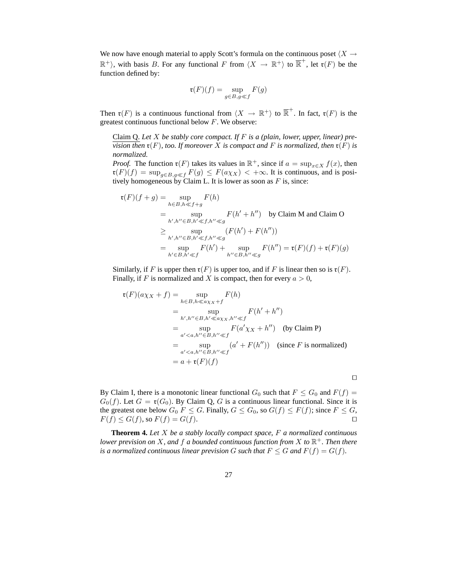We now have enough material to apply Scott's formula on the continuous poset  $\langle X \rightarrow$  $\mathbb{R}^+$ ), with basis B. For any functional F from  $\langle X \to \mathbb{R}^+ \rangle$  to  $\overline{\mathbb{R}}^+$ , let  $\mathfrak{r}(F)$  be the function defined by:

$$
\mathfrak{r}(F)(f) = \sup_{g \in B, g \ll f} F(g)
$$

Then  $\mathfrak{r}(F)$  is a continuous functional from  $\langle X \to \mathbb{R}^+ \rangle$  to  $\overline{\mathbb{R}}^+$ . In fact,  $\mathfrak{r}(F)$  is the greatest continuous functional below  $F$ . We observe:

Claim Q. *Let* X *be stably core compact. If* F *is a (plain, lower, upper, linear) prevision then*  $\mathfrak{r}(F)$ *, too. If moreover* X *is compact and* F *is normalized, then*  $\mathfrak{r}(F)$  *is normalized.*

*Proof.* The function  $\mathfrak{r}(F)$  takes its values in  $\mathbb{R}^+$ , since if  $a = \sup_{x \in X} f(x)$ , then  $\mathfrak{r}(F)(f) = \sup_{g \in B, g \ll f} F(g) \leq F(a\chi_X) < +\infty$ . It is continuous, and is positively homogeneous by Claim L. It is lower as soon as  $F$  is, since:

$$
\mathfrak{r}(F)(f+g) = \sup_{h \in B, h \ll f+g} F(h)
$$
\n
$$
= \sup_{h', h'' \in B, h' \ll f, h'' \ll g} F(h' + h'') \quad \text{by Claim M and Claim O}
$$
\n
$$
\geq \sup_{h', h'' \in B, h' \ll f, h'' \ll g} (F(h') + F(h''))
$$
\n
$$
= \sup_{h' \in B, h' \ll f} F(h') + \sup_{h'' \in B, h'' \ll g} F(h'') = \mathfrak{r}(F)(f) + \mathfrak{r}(F)(g)
$$

Similarly, if F is upper then  $\mathfrak{r}(F)$  is upper too, and if F is linear then so is  $\mathfrak{r}(F)$ . Finally, if F is normalized and X is compact, then for every  $a > 0$ ,

$$
\mathfrak{r}(F)(a\chi_X + f) = \sup_{h \in B, h \ll a\chi_X + f} F(h)
$$
  
= 
$$
\sup_{h', h'' \in B, h' \ll a\chi_X, h'' \ll f} F(h' + h'')
$$
  
= 
$$
\sup_{a' < a, h'' \in B, h'' \ll f} F(a'\chi_X + h'')
$$
 (by Claim P)  
= 
$$
\sup_{a' < a, h'' \in B, h'' \ll f} (a' + F(h''))
$$
 (since F is normalized)  
= 
$$
a + \mathfrak{r}(F)(f)
$$

⊓⊔

By Claim I, there is a monotonic linear functional  $G_0$  such that  $F \leq G_0$  and  $F(f) =$  $G_0(f)$ . Let  $G = \mathfrak{r}(G_0)$ . By Claim Q, G is a continuous linear functional. Since it is the greatest one below  $G_0$   $F \leq G$ . Finally,  $G \leq G_0$ , so  $G(f) \leq F(f)$ ; since  $F \leq G$ ,  $F(f) \le G(f)$ , so  $F(f) = G(f)$ . □

**Theorem 4.** *Let* X *be a stably locally compact space,* F *a normalized continuous lower prevision on* X*, and* f *a bounded continuous function from* X *to* R <sup>+</sup>*. Then there is a normalized continuous linear prevision* G *such that*  $F \leq G$  *and*  $F(f) = G(f)$ *.*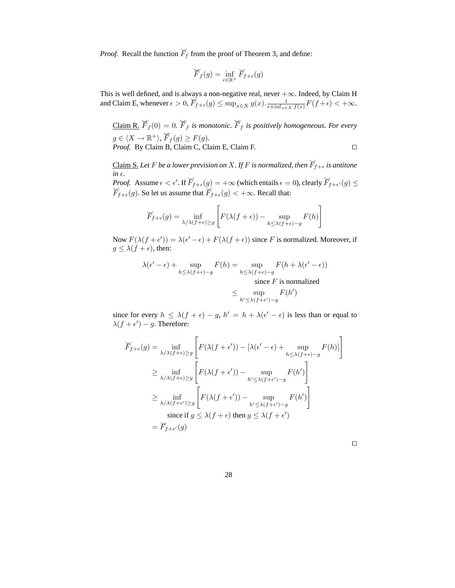*Proof.* Recall the function  $\widetilde{F}_f$  from the proof of Theorem 3, and define:

$$
\widecheck{F}_f(g) = \inf_{\epsilon \in \mathbb{R}^+} \widecheck{F}_{f+\epsilon}(g)
$$

This is well defined, and is always a non-negative real, never  $+\infty$ . Indeed, by Claim H and Claim E, whenever  $\epsilon > 0$ ,  $\overline{F}_{f+\epsilon}(g) \le \sup_{x \in X} g(x) \cdot \frac{1}{\epsilon + \inf_{x \in X} f(x)} F(f+\epsilon) < +\infty$ .

 $Claim R.  $\breve{F}_f(0) = 0$ .  $\breve{F}_f$  is monotonic.  $\breve{F}_f$  is positively homogeneous. For every$ </u>  $g \in \langle X \to \mathbb{R}^+ \rangle, \ \widecheck{F}_f (g) \geq F(g).$ *Proof.* By Claim B, Claim C, Claim E, Claim F.

<u>Claim S.</u> Let *F* be a lower prevision on X. If *F* is normalized, then  $\overline{F}_{f+\epsilon}$  is antitone  $in \epsilon$ *.* 

*Proof.* Assume  $\epsilon < \epsilon'$ . If  $\overline{F}_{f+\epsilon}(g) = +\infty$  (which entails  $\epsilon = 0$ ), clearly  $\overline{F}_{f+\epsilon'}(g) \le \overline{F}_{f+\epsilon}(g)$ . So let us assume that  $\overline{F}_{f+\epsilon}(g) < +\infty$ . Recall that:

$$
\widetilde{F}_{f+\epsilon}(g) = \inf_{\lambda/\lambda(f+\epsilon) \ge g} \left[ F(\lambda(f+\epsilon)) - \sup_{h \le \lambda(f+\epsilon) - g} F(h) \right]
$$

Now  $F(\lambda(f+\epsilon')) = \lambda(\epsilon'-\epsilon) + F(\lambda(f+\epsilon))$  since F is normalized. Moreover, if  $g \leq \lambda(f + \epsilon)$ , then:

$$
\lambda(\epsilon' - \epsilon) + \sup_{h \le \lambda(f + \epsilon) - g} F(h) = \sup_{h \le \lambda(f + \epsilon) - g} F(h + \lambda(\epsilon' - \epsilon))
$$
  
since *F* is normalized

$$
\leq \sup_{h' \leq \lambda(f+\epsilon')-g} F(h')
$$

since for every  $h \leq \lambda(f + \epsilon) - g$ ,  $h' = h + \lambda(\epsilon' - \epsilon)$  is less than or equal to  $\lambda(f+\epsilon')-g$ . Therefore:

$$
\widetilde{F}_{f+\epsilon}(g) = \inf_{\lambda/\lambda(f+\epsilon) \ge g} \left[ F(\lambda(f+\epsilon')) - [\lambda(\epsilon'-\epsilon) + \sup_{h \le \lambda(f+\epsilon)-g} F(h)] \right]
$$
\n
$$
\ge \inf_{\lambda/\lambda(f+\epsilon) \ge g} \left[ F(\lambda(f+\epsilon')) - \sup_{h' \le \lambda(f+\epsilon')-g} F(h') \right]
$$
\n
$$
\ge \inf_{\lambda/\lambda(f+\epsilon') \ge g} \left[ F(\lambda(f+\epsilon')) - \sup_{h' \le \lambda(f+\epsilon')-g} F(h') \right]
$$
\n
$$
\text{since if } g \le \lambda(f+\epsilon) \text{ then } g \le \lambda(f+\epsilon')
$$
\n
$$
= \widetilde{F}_{f+\epsilon'}(g)
$$

| ۰ | ۰ |  |
|---|---|--|
|   |   |  |
|   |   |  |
|   |   |  |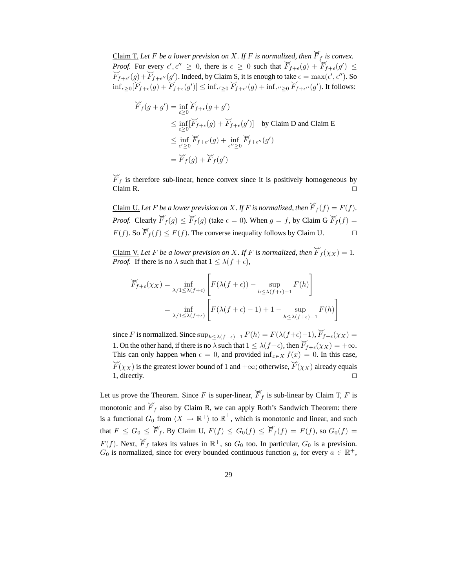<u>Claim T.</u> Let F be a lower prevision on X. If F is normalized, then  $\breve{F}_f$  is convex. *Proof.* For every  $\epsilon', \epsilon'' \geq 0$ , there is  $\epsilon \geq 0$  such that  $\widetilde{F}_{f+\epsilon}(g) + \widetilde{F}_{f+\epsilon}(g')$ *Proof.* For every  $\epsilon', \epsilon'' \ge 0$ , there is  $\epsilon \ge 0$  such that  $\bar{F}_{f+\epsilon}(g) + \bar{F}_{f+\epsilon}(g') \le \bar{F}_{f+\epsilon'}(g) + \bar{F}_{f+\epsilon''}(g')$ . Indeed, by Claim S, it is enough to take  $\epsilon = \max(\epsilon', \epsilon'')$ . So  $\inf_{\epsilon \geq 0} [F_{f+\epsilon}(g) + F_{f+\epsilon}(g')] \leq \inf_{\epsilon' \geq 0} \overline{F}_{f+\epsilon'}(g) + \inf_{\epsilon'' \geq 0} \overline{F}_{f+\epsilon''}(g')$ . It follows:

$$
\widetilde{F}_f(g+g') = \inf_{\epsilon \ge 0} \widetilde{F}_{f+\epsilon}(g+g')
$$
\n
$$
\le \inf_{\epsilon \ge 0} [\widetilde{F}_{f+\epsilon}(g) + \widetilde{F}_{f+\epsilon}(g')] \text{ by Claim D and Claim E}
$$
\n
$$
\le \inf_{\epsilon' \ge 0} \widetilde{F}_{f+\epsilon'}(g) + \inf_{\epsilon'' \ge 0} \widetilde{F}_{f+\epsilon''}(g')
$$
\n
$$
= \widetilde{F}_f(g) + \widetilde{F}_f(g')
$$

 $\widetilde{F}_f$  is therefore sub-linear, hence convex since it is positively homogeneous by Claim R. Claim R. □

<u>Claim U.</u> Let F be a lower prevision on X. If F is normalized, then  $\breve{F}_f(f) = F(f)$ . *Proof.* Clearly  $\overline{F}_f(g) \leq \overline{F}_f(g)$  (take  $\epsilon = 0$ ). When  $g = f$ , by Claim G  $\overline{F}_f(f) =$  $F(f)$ . So  $\overline{F}_f(f) \leq F(f)$ . The converse inequality follows by Claim U. □

<u>Claim V.</u> Let F be a lower prevision on X. If F is normalized, then  $\widetilde{F}_f(\chi_X) = 1$ . *Proof.* If there is no  $\lambda$  such that  $1 \leq \lambda(f + \epsilon)$ ,

$$
\overline{F}_{f+\epsilon}(\chi_X) = \inf_{\lambda/1 \leq \lambda(f+\epsilon)} \left[ F(\lambda(f+\epsilon)) - \sup_{h \leq \lambda(f+\epsilon)-1} F(h) \right]
$$

$$
= \inf_{\lambda/1 \leq \lambda(f+\epsilon)} \left[ F(\lambda(f+\epsilon)-1) + 1 - \sup_{h \leq \lambda(f+\epsilon)-1} F(h) \right]
$$

1

since F is normalized. Since  $\sup_{h \leq \lambda(f+\epsilon)-1} F(h) = F(\lambda(f+\epsilon)-1), \overline{F}_{f+\epsilon}(\chi_X) =$ 1. On the other hand, if there is no  $\lambda$  such that  $1 \leq \lambda(f+\epsilon)$ , then  $\overline{F}_{f+\epsilon}(\chi_X) = +\infty$ . This can only happen when  $\epsilon = 0$ , and provided inf<sub>x∈X</sub>  $f(x) = 0$ . In this case,  $\widecheck{F}(\chi_X)$  is the greatest lower bound of 1 and +∞; otherwise,  $\widecheck{F}(\chi_X)$  already equals 1, directly. ⊓⊔

Let us prove the Theorem. Since F is super-linear,  $\overline{F}_f$  is sub-linear by Claim T, F is monotonic and  $\overline{F}_f$  also by Claim R, we can apply Roth's Sandwich Theorem: there is a functional  $G_0$  from  $\langle X \to \mathbb{R}^+ \rangle$  to  $\overline{\mathbb{R}}^+$ , which is monotonic and linear, and such that  $F \leq G_0 \leq \overline{F}_f$ . By Claim U,  $F(f) \leq G_0(f) \leq \overline{F}_f(f) = F(f)$ , so  $G_0(f) =$  $F(f)$ . Next,  $\overline{F}_f$  takes its values in  $\mathbb{R}^+$ , so  $G_0$  too. In particular,  $G_0$  is a prevision.  $G_0$  is normalized, since for every bounded continuous function g, for every  $a \in \mathbb{R}^+$ ,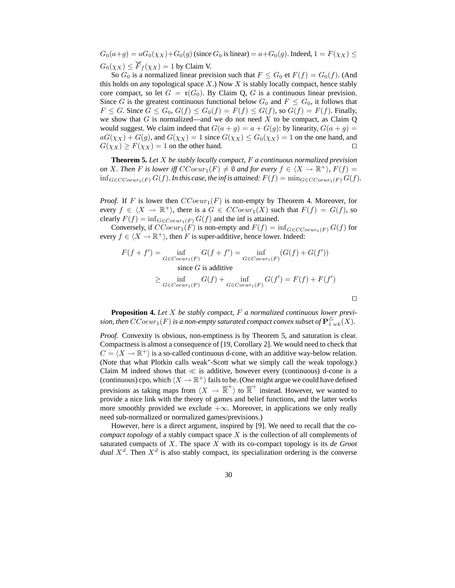$G_0(a+g) = aG_0(\chi_X) + G_0(g)$  (since  $G_0$  is linear) =  $a + G_0(g)$ . Indeed,  $1 = F(\chi_X) \le$  $G_0(\chi_X) \leq \widetilde{F}_f(\chi_X) = 1$  by Claim V.

So  $G_0$  is a normalized linear prevision such that  $F \n\t\leq G_0$  et  $F(f) = G_0(f)$ . (And this holds on any topological space  $X$ .) Now  $X$  is stably locally compact, hence stably core compact, so let  $G = \mathfrak{r}(G_0)$ . By Claim Q, G is a continuous linear prevision. Since G is the greatest continuous functional below  $G_0$  and  $F \nleq G_0$ , it follows that  $F \leq G$ . Since  $G \leq G_0$ ,  $G(f) \leq G_0(f) = F(f) \leq G(f)$ , so  $G(f) = F(f)$ . Finally, we show that  $G$  is normalized—and we do not need  $X$  to be compact, as Claim  $Q$ would suggest. We claim indeed that  $G(a + g) = a + G(g)$ : by linearity,  $G(a + g) =$  $aG(\chi_X) + G(g)$ , and  $G(\chi_X) = 1$  since  $G(\chi_X) \leq G_0(\chi_X) = 1$  on the one hand, and  $G(\chi_X) \geq F(\chi_X) = 1$  on the other hand. □

**Theorem 5.** *Let* X *be stably locally compact,* F *a continuous normalized prevision on* X. Then F is lower iff  $CCoeur_1(F) \neq \emptyset$  and for every  $f \in \langle X \to \mathbb{R}^+ \rangle$ ,  $F(f) =$ inf<sub>G∈CCoeur1</sub>(F)  $G(f)$ *. In this case, the inf is attained:*  $F(f) = \min_{G \in CCoeur_1(F)} G(f)$ *.* 

*Proof.* If F is lower then  $CCoeur_1(F)$  is non-empty by Theorem 4. Moreover, for every  $f \in \langle X \to \mathbb{R}^+ \rangle$ , there is a  $G \in CCoeur_1(X)$  such that  $F(f) = G(f)$ , so clearly  $F(f) = \inf_{G \in Coeur_1(F)} G(f)$  and the inf is attained.

Conversely, if  $CCoeur_1(F)$  is non-empty and  $F(f) = inf_{G \in CCoeur_1(F)} G(f)$  for every  $f \in \langle X \to \mathbb{R}^+ \rangle$ , then F is super-additive, hence lower. Indeed:

$$
F(f + f') = \inf_{G \in Coeur_1(F)} G(f + f') = \inf_{G \in Coeur_1(F)} (G(f) + G(f'))
$$
  
since G is additive  

$$
\geq \inf_{G \in Coeur_1(F)} G(f) + \inf_{G \in Coeur_1(F)} G(f') = F(f) + F(f')
$$

⊓⊔

**Proposition 4.** *Let* X *be stably compact,* F *a normalized continuous lower previ*sion, then  $CCoeur_1(F)$  is a non-empty saturated compact convex subset of  ${\bf P}_{1\, wk}^\Delta(X).$ 

*Proof.* Convexity is obvious, non-emptiness is by Theorem 5, and saturation is clear. Compactness is almost a consequence of [19, Corollary 2]. We would need to check that  $C = \langle X \rightarrow \mathbb{R}^+ \rangle$  is a so-called continuous d-cone, with an additive way-below relation. (Note that what Plotkin calls weak<sup>∗</sup> -Scott what we simply call the weak topology.) Claim M indeed shows that  $\ll$  is additive, however every (continuous) d-cone is a (continuous) cpo, which  $\langle X \rightarrow \mathbb{R}^+ \rangle$  fails to be. (One might argue we could have defined previsions as taking maps from  $\langle X \rangle \to \overline{\mathbb{R}}^+$  to  $\overline{\mathbb{R}}^+$  instead. However, we wanted to provide a nice link with the theory of games and belief functions, and the latter works more smoothly provided we exclude  $+\infty$ . Moreover, in applications we only really need sub-normalized or normalized games/previsions.)

However, here is a direct argument, inspired by [9]. We need to recall that the *cocompact topology* of a stably compact space X is the collection of all complements of saturated compacts of X. The space X with its co-compact topology is its *de Groot dual*  $X<sup>d</sup>$ . Then  $X<sup>d</sup>$  is also stably compact, its specialization ordering is the converse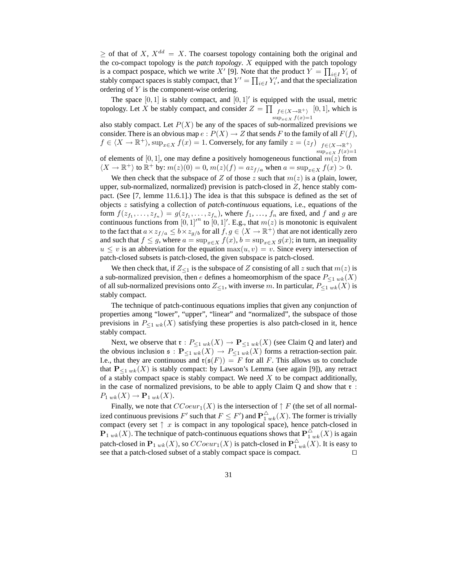$>$  of that of X,  $X^{dd} = X$ . The coarsest topology containing both the original and the co-compact topology is the *patch topology*. X equipped with the patch topology is a compact pospace, which we write X' [9]. Note that the product  $Y = \prod_{i \in I} Y_i$  of stably compact spaces is stably compact, that  $Y' = \prod_{i \in I} Y'_i$ , and that the specialization ordering of Y is the component-wise ordering.

The space  $[0, 1]$  is stably compact, and  $[0, 1]'$  is equipped with the usual, metric topology. Let X be stably compact, and consider  $Z = \prod_{f \in (X \to \mathbb{R}^+)} [0, 1]$ , which is  $\sup_{x \in X} f(x) = 1$ 

also stably compact. Let  $P(X)$  be any of the spaces of sub-normalized previsions we consider. There is an obvious map  $e: P(X) \to Z$  that sends F to the family of all  $F(f)$ ,  $f \in \langle X \to \mathbb{R}^+ \rangle$ ,  $\sup_{x \in X} f(x) = 1$ . Conversely, for any family  $z = (z_f) \Big|_{f \in \langle X \to \mathbb{R}^+ \rangle}$  $\sup_{x \in X} f(x)=1$ of elements of [0, 1], one may define a positively homogeneous functional  $m(z)$  from

 $\langle X \to \mathbb{R}^+ \rangle$  to  $\mathbb{R}^+$  by:  $m(z)(0) = 0$ ,  $m(z)(f) = az_{f/a}$  when  $a = \sup_{x \in X} f(x) > 0$ .

We then check that the subspace of Z of those z such that  $m(z)$  is a (plain, lower, upper, sub-normalized, normalized) prevision is patch-closed in  $Z$ , hence stably compact. (See [7, lemme 11.6.1].) The idea is that this subspace is defined as the set of objects z satisfying a collection of *patch-continuous* equations, i.e., equations of the form  $f(z_{f_1},...,z_{f_n}) = g(z_{f_1},...,z_{f_n})$ , where  $f_1,...,f_n$  are fixed, and f and g are continuous functions from  $[0,1]^n$  to  $[0,1]'$ . E.g., that  $m(z)$  is monotonic is equivalent to the fact that  $a \times z_{f/a} \le b \times z_{g/b}$  for all  $f, g \in \langle X \to \mathbb{R}^+ \rangle$  that are not identically zero and such that  $f \leq g$ , where  $a = \sup_{x \in X} f(x)$ ,  $b = \sup_{x \in X} g(x)$ ; in turn, an inequality  $u \leq v$  is an abbreviation for the equation  $\max(u, v) = v$ . Since every intersection of patch-closed subsets is patch-closed, the given subspace is patch-closed.

We then check that, if  $Z_{\leq 1}$  is the subspace of Z consisting of all z such that  $m(z)$  is a sub-normalized prevision, then e defines a homeomorphism of the space  $P_{\leq 1 \le k}(X)$ of all sub-normalized previsions onto  $Z_{\leq 1}$ , with inverse m. In particular,  $P_{\leq 1 \le k}(X)$  is stably compact.

The technique of patch-continuous equations implies that given any conjunction of properties among "lower", "upper", "linear" and "normalized", the subspace of those previsions in  $P_{\leq 1 \le k}(X)$  satisfying these properties is also patch-closed in it, hence stably compact.

Next, we observe that  $\mathfrak{r}: P_{\leq 1 \le k}(X) \to \mathbf{P}_{\leq 1 \le k}(X)$  (see Claim Q and later) and the obvious inclusion  $\mathfrak{s}: \mathbf{P}_{\leq 1}$   $w_k(X) \to P_{\leq 1}$   $w_k(X)$  forms a retraction-section pair. I.e., that they are continuous and  $\mathfrak{r}(\mathfrak{s}(F)) = F$  for all F. This allows us to conclude that  $P_{\leq 1 \le k}(X)$  is stably compact: by Lawson's Lemma (see again [9]), any retract of a stably compact space is stably compact. We need  $X$  to be compact additionally, in the case of normalized previsions, to be able to apply Claim  $Q$  and show that  $r$ :  $P_{1 wk}(X) \rightarrow \mathbf{P}_{1 wk}(X).$ 

Finally, we note that  $CCoeur_1(X)$  is the intersection of  $\uparrow$  F (the set of all normalized continuous previsions  $F'$  such that  $F\leq F'$ ) and  ${\bf P}_{1\;wk}^\Delta(X).$  The former is trivially compact (every set  $\uparrow x$  is compact in any topological space), hence patch-closed in  ${\bf P}_{1 \le k}(X)$ . The technique of patch-continuous equations shows that  ${\bf P}_{1 \le k}^{\triangle}(X)$  is again patch-closed in  $\mathbf{P}_{1 \le k}(X)$ , so  $CCoeur_1(X)$  is patch-closed in  $\mathbf{P}^\triangle_{1 \le k}(X)$ . It is easy to see that a patch-closed subset of a stably compact space is compact. □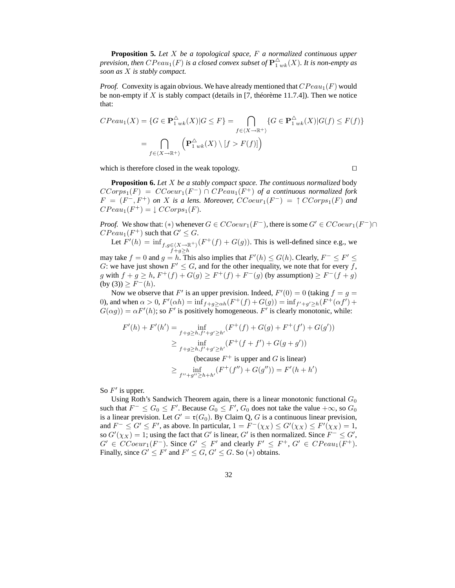**Proposition 5.** *Let* X *be a topological space,* F *a normalized continuous upper* prevision, then  $CPeau_1(F)$  is a closed convex subset of  ${\bf P}_{1\,uk}^\Delta(X).$  It is non-empty as *soon as* X *is stably compact.*

*Proof.* Convexity is again obvious. We have already mentioned that  $CPeau_1(F)$  would be non-empty if X is stably compact (details in [7, théorème 11.7.4]). Then we notice that:

$$
CPeau_1(X) = \{G \in \mathbf{P}_{1 \le k}^{\Delta}(X) | G \le F\} = \bigcap_{f \in \langle X \to \mathbb{R}^+\rangle} \{G \in \mathbf{P}_{1 \le k}^{\Delta}(X) | G(f) \le F(f)\}
$$

$$
= \bigcap_{f \in \langle X \to \mathbb{R}^+\rangle} \left(\mathbf{P}_{1 \le k}^{\Delta}(X) \setminus [f > F(f)]\right)
$$

which is therefore closed in the weak topology. □

**Proposition 6.** *Let* X *be a stably compact space. The continuous normalized* body  $CCorps_1(F) = CCoeur_1(F^-) \cap CPeau_1(F^+)$  of a continuous normalized fork  $F = (F^-, F^+)$  on X is a lens. Moreover,  $CCoeur_1(F^-) = \uparrow CCorps_1(F)$  and  $CPeau_1(F^+) = \downarrow CCorps_1(F)$ .

*Proof.* We show that: (\*) whenever  $G \in CCoeur_1(F^-)$ , there is some  $G' \in CCoeur_1(F^-) \cap$  $\mathbb{C}P\mathbb{C}au_1(F^+)$  such that  $G' \leq G$ .

Let 
$$
F'(h) = \inf_{\substack{f,g \in \langle X \to \mathbb{R}^+ \rangle \\ f+g \geq h}} (F^+(f) + G(g)).
$$
 This is well-defined since e.g., we

may take  $f = 0$  and  $g = h$ . This also implies that  $F'(h) \le G(h)$ . Clearly,  $F^- \le F' \le$ G: we have just shown  $F' \leq G$ , and for the other inequality, we note that for every f, g with  $f + g \ge h$ ,  $F^+(f) + G(g) \ge F^+(f) + F^-(g)$  (by assumption)  $\ge F^-(f+g)$  $(by (3)) \geq F^{-}(h).$ 

Now we observe that F' is an upper prevision. Indeed,  $F'(0) = 0$  (taking  $f = g =$ 0), and when  $\alpha > 0$ ,  $F'(\alpha h) = \inf_{f+g \ge \alpha h} (F^+(f) + G(g)) = \inf_{f'+g' \ge h} (F^+(\alpha f') + G(g))$  $G(\alpha g) = \alpha F'(h)$ ; so F' is positively homogeneous. F' is clearly monotonic, while:

$$
F'(h) + F'(h') = \inf_{f+g \ge h, f'+g' \ge h'} (F^+(f) + G(g) + F^+(f') + G(g'))
$$
  
\n
$$
\ge \inf_{f+g \ge h, f'+g' \ge h'} (F^+(f+f') + G(g+g'))
$$
  
\n(because  $F^+$  is upper and  $G$  is linear)  
\n
$$
\ge \inf_{f''+g'' \ge h+h'} (F^+(f'') + G(g'')) = F'(h+h')
$$

So  $F'$  is upper.

Using Roth's Sandwich Theorem again, there is a linear monotonic functional  $G_0$ such that  $F^- \le G_0 \le F'$ . Because  $G_0 \le F'$ ,  $G_0$  does not take the value  $+\infty$ , so  $G_0$ is a linear prevision. Let  $G' = \mathfrak{r}(G_0)$ . By Claim Q, G is a continuous linear prevision, and  $F^- \leq G' \leq F'$ , as above. In particular,  $1 = F^-(\chi_X) \leq G'(\chi_X) \leq F'(\chi_X) = 1$ , so  $G'(\chi_X) = 1$ ; using the fact that  $G'$  is linear,  $G'$  is then normalized. Since  $F^- \leq G'$ ,  $G' \in CCoeur_1(F^-)$ . Since  $G' \leq F'$  and clearly  $F' \leq F^+$ ,  $G' \in CPeau_1(F^+)$ . Finally, since  $G' \leq F'$  and  $F' \leq G$ ,  $G' \leq G$ . So  $(*)$  obtains.